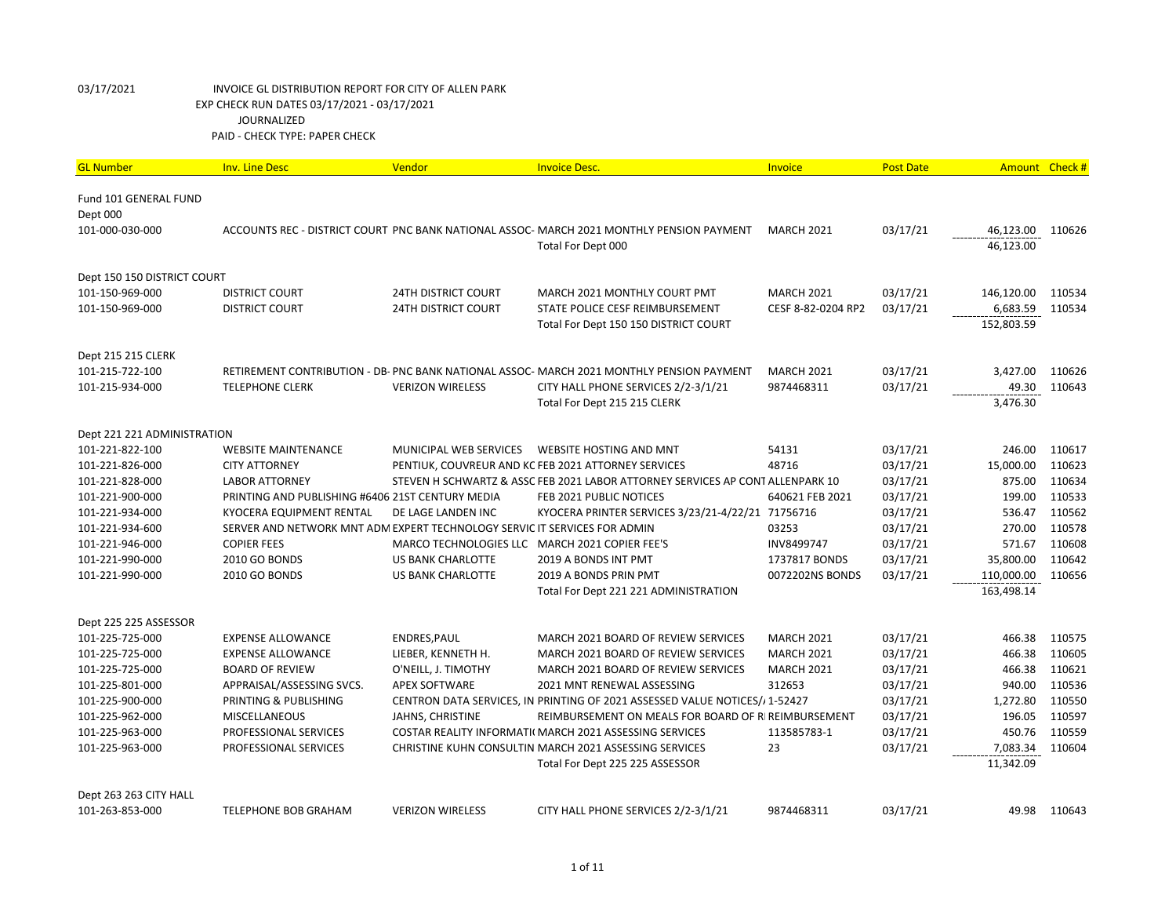| <b>GL Number</b>            | <b>Inv. Line Desc</b>                                                     | Vendor                                         | <b>Invoice Desc.</b>                                                                      | Invoice            | <b>Post Date</b> |            | Amount Check # |
|-----------------------------|---------------------------------------------------------------------------|------------------------------------------------|-------------------------------------------------------------------------------------------|--------------------|------------------|------------|----------------|
| Fund 101 GENERAL FUND       |                                                                           |                                                |                                                                                           |                    |                  |            |                |
| Dept 000                    |                                                                           |                                                |                                                                                           |                    |                  |            |                |
| 101-000-030-000             |                                                                           |                                                | ACCOUNTS REC - DISTRICT COURT PNC BANK NATIONAL ASSOC- MARCH 2021 MONTHLY PENSION PAYMENT | <b>MARCH 2021</b>  | 03/17/21         | 46,123.00  | 110626         |
|                             |                                                                           |                                                | Total For Dept 000                                                                        |                    |                  | 46,123.00  |                |
| Dept 150 150 DISTRICT COURT |                                                                           |                                                |                                                                                           |                    |                  |            |                |
| 101-150-969-000             | <b>DISTRICT COURT</b>                                                     | <b>24TH DISTRICT COURT</b>                     | MARCH 2021 MONTHLY COURT PMT                                                              | <b>MARCH 2021</b>  | 03/17/21         | 146,120.00 | 110534         |
| 101-150-969-000             | <b>DISTRICT COURT</b>                                                     | <b>24TH DISTRICT COURT</b>                     | STATE POLICE CESF REIMBURSEMENT                                                           | CESF 8-82-0204 RP2 | 03/17/21         | 6,683.59   | 110534         |
|                             |                                                                           |                                                | Total For Dept 150 150 DISTRICT COURT                                                     |                    |                  | 152,803.59 |                |
| Dept 215 215 CLERK          |                                                                           |                                                |                                                                                           |                    |                  |            |                |
| 101-215-722-100             |                                                                           |                                                | RETIREMENT CONTRIBUTION - DB- PNC BANK NATIONAL ASSOC- MARCH 2021 MONTHLY PENSION PAYMENT | <b>MARCH 2021</b>  | 03/17/21         | 3,427.00   | 110626         |
| 101-215-934-000             | <b>TELEPHONE CLERK</b>                                                    | <b>VERIZON WIRELESS</b>                        | CITY HALL PHONE SERVICES 2/2-3/1/21                                                       | 9874468311         | 03/17/21         | 49.30      | 110643         |
|                             |                                                                           |                                                | Total For Dept 215 215 CLERK                                                              |                    |                  | 3,476.30   |                |
| Dept 221 221 ADMINISTRATION |                                                                           |                                                |                                                                                           |                    |                  |            |                |
| 101-221-822-100             | <b>WEBSITE MAINTENANCE</b>                                                | MUNICIPAL WEB SERVICES                         | <b>WEBSITE HOSTING AND MNT</b>                                                            | 54131              | 03/17/21         | 246.00     | 110617         |
| 101-221-826-000             | <b>CITY ATTORNEY</b>                                                      |                                                | PENTIUK, COUVREUR AND KC FEB 2021 ATTORNEY SERVICES                                       | 48716              | 03/17/21         | 15,000.00  | 110623         |
| 101-221-828-000             | <b>LABOR ATTORNEY</b>                                                     |                                                | STEVEN H SCHWARTZ & ASSC FEB 2021 LABOR ATTORNEY SERVICES AP CONT ALLENPARK 10            |                    | 03/17/21         | 875.00     | 110634         |
| 101-221-900-000             | PRINTING AND PUBLISHING #6406 21ST CENTURY MEDIA                          |                                                | FEB 2021 PUBLIC NOTICES                                                                   | 640621 FEB 2021    | 03/17/21         | 199.00     | 110533         |
| 101-221-934-000             | KYOCERA EQUIPMENT RENTAL                                                  | DE LAGE LANDEN INC                             | KYOCERA PRINTER SERVICES 3/23/21-4/22/21 71756716                                         |                    | 03/17/21         | 536.47     | 110562         |
| 101-221-934-600             | SERVER AND NETWORK MNT ADM EXPERT TECHNOLOGY SERVIC IT SERVICES FOR ADMIN |                                                |                                                                                           | 03253              | 03/17/21         | 270.00     | 110578         |
| 101-221-946-000             | <b>COPIER FEES</b>                                                        | MARCO TECHNOLOGIES LLC MARCH 2021 COPIER FEE'S |                                                                                           | INV8499747         | 03/17/21         | 571.67     | 110608         |
| 101-221-990-000             | 2010 GO BONDS                                                             | <b>US BANK CHARLOTTE</b>                       | 2019 A BONDS INT PMT                                                                      | 1737817 BONDS      | 03/17/21         | 35,800.00  | 110642         |
| 101-221-990-000             | 2010 GO BONDS                                                             | US BANK CHARLOTTE                              | 2019 A BONDS PRIN PMT                                                                     | 0072202NS BONDS    | 03/17/21         | 110,000.00 | 110656         |
|                             |                                                                           |                                                | Total For Dept 221 221 ADMINISTRATION                                                     |                    |                  | 163,498.14 |                |
| Dept 225 225 ASSESSOR       |                                                                           |                                                |                                                                                           |                    |                  |            |                |
| 101-225-725-000             | <b>EXPENSE ALLOWANCE</b>                                                  | ENDRES, PAUL                                   | MARCH 2021 BOARD OF REVIEW SERVICES                                                       | <b>MARCH 2021</b>  | 03/17/21         | 466.38     | 110575         |
| 101-225-725-000             | <b>EXPENSE ALLOWANCE</b>                                                  | LIEBER, KENNETH H.                             | MARCH 2021 BOARD OF REVIEW SERVICES                                                       | <b>MARCH 2021</b>  | 03/17/21         | 466.38     | 110605         |
| 101-225-725-000             | <b>BOARD OF REVIEW</b>                                                    | O'NEILL, J. TIMOTHY                            | MARCH 2021 BOARD OF REVIEW SERVICES                                                       | <b>MARCH 2021</b>  | 03/17/21         | 466.38     | 110621         |
| 101-225-801-000             | APPRAISAL/ASSESSING SVCS.                                                 | <b>APEX SOFTWARE</b>                           | 2021 MNT RENEWAL ASSESSING                                                                | 312653             | 03/17/21         | 940.00     | 110536         |
| 101-225-900-000             | PRINTING & PUBLISHING                                                     |                                                | CENTRON DATA SERVICES, IN PRINTING OF 2021 ASSESSED VALUE NOTICES// 1-52427               |                    | 03/17/21         | 1,272.80   | 110550         |
| 101-225-962-000             | <b>MISCELLANEOUS</b>                                                      | JAHNS, CHRISTINE                               | REIMBURSEMENT ON MEALS FOR BOARD OF RIREIMBURSEMENT                                       |                    | 03/17/21         | 196.05     | 110597         |
| 101-225-963-000             | PROFESSIONAL SERVICES                                                     |                                                | COSTAR REALITY INFORMATI(MARCH 2021 ASSESSING SERVICES                                    | 113585783-1        | 03/17/21         | 450.76     | 110559         |
| 101-225-963-000             | PROFESSIONAL SERVICES                                                     |                                                | CHRISTINE KUHN CONSULTIN MARCH 2021 ASSESSING SERVICES                                    | 23                 | 03/17/21         | 7,083.34   | 110604         |
|                             |                                                                           |                                                | Total For Dept 225 225 ASSESSOR                                                           |                    |                  | 11,342.09  |                |
| Dept 263 263 CITY HALL      |                                                                           |                                                |                                                                                           |                    |                  |            |                |
| 101-263-853-000             | <b>TELEPHONE BOB GRAHAM</b>                                               | <b>VERIZON WIRELESS</b>                        | CITY HALL PHONE SERVICES 2/2-3/1/21                                                       | 9874468311         | 03/17/21         | 49.98      | 110643         |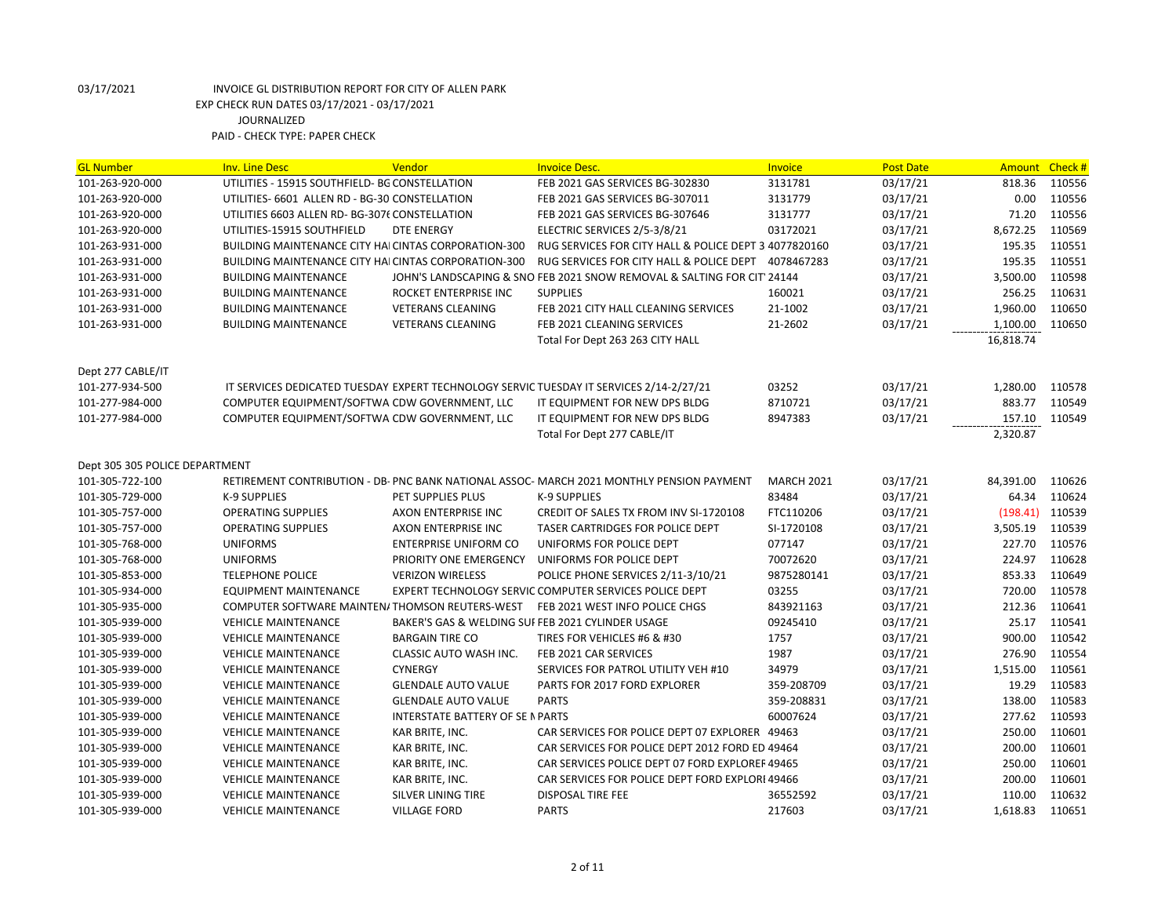| <b>GL Number</b>               | <b>Inv. Line Desc</b>                                | Vendor                                           | <b>Invoice Desc.</b>                                                                      | Invoice           | <b>Post Date</b> | Amount Check # |        |
|--------------------------------|------------------------------------------------------|--------------------------------------------------|-------------------------------------------------------------------------------------------|-------------------|------------------|----------------|--------|
| 101-263-920-000                | UTILITIES - 15915 SOUTHFIELD- BG CONSTELLATION       |                                                  | FEB 2021 GAS SERVICES BG-302830                                                           | 3131781           | 03/17/21         | 818.36         | 110556 |
| 101-263-920-000                | UTILITIES- 6601 ALLEN RD - BG-30 CONSTELLATION       |                                                  | FEB 2021 GAS SERVICES BG-307011                                                           | 3131779           | 03/17/21         | 0.00           | 110556 |
| 101-263-920-000                | UTILITIES 6603 ALLEN RD- BG-3076 CONSTELLATION       |                                                  | FEB 2021 GAS SERVICES BG-307646                                                           | 3131777           | 03/17/21         | 71.20          | 110556 |
| 101-263-920-000                | UTILITIES-15915 SOUTHFIELD                           | <b>DTE ENERGY</b>                                | ELECTRIC SERVICES 2/5-3/8/21                                                              | 03172021          | 03/17/21         | 8,672.25       | 110569 |
| 101-263-931-000                | BUILDING MAINTENANCE CITY HAI CINTAS CORPORATION-300 |                                                  | RUG SERVICES FOR CITY HALL & POLICE DEPT 3 4077820160                                     |                   | 03/17/21         | 195.35         | 110551 |
| 101-263-931-000                | BUILDING MAINTENANCE CITY HAI CINTAS CORPORATION-300 |                                                  | RUG SERVICES FOR CITY HALL & POLICE DEPT                                                  | 4078467283        | 03/17/21         | 195.35         | 110551 |
| 101-263-931-000                | <b>BUILDING MAINTENANCE</b>                          |                                                  | JOHN'S LANDSCAPING & SNO FEB 2021 SNOW REMOVAL & SALTING FOR CIT' 24144                   |                   | 03/17/21         | 3,500.00       | 110598 |
| 101-263-931-000                | <b>BUILDING MAINTENANCE</b>                          | ROCKET ENTERPRISE INC                            | <b>SUPPLIES</b>                                                                           | 160021            | 03/17/21         | 256.25         | 110631 |
| 101-263-931-000                | <b>BUILDING MAINTENANCE</b>                          | <b>VETERANS CLEANING</b>                         | FEB 2021 CITY HALL CLEANING SERVICES                                                      | 21-1002           | 03/17/21         | 1,960.00       | 110650 |
| 101-263-931-000                | <b>BUILDING MAINTENANCE</b>                          | <b>VETERANS CLEANING</b>                         | FEB 2021 CLEANING SERVICES                                                                | 21-2602           | 03/17/21         | 1,100.00       | 110650 |
|                                |                                                      |                                                  | Total For Dept 263 263 CITY HALL                                                          |                   |                  | 16,818.74      |        |
|                                |                                                      |                                                  |                                                                                           |                   |                  |                |        |
| Dept 277 CABLE/IT              |                                                      |                                                  |                                                                                           |                   |                  |                |        |
| 101-277-934-500                |                                                      |                                                  | IT SERVICES DEDICATED TUESDAY EXPERT TECHNOLOGY SERVIC TUESDAY IT SERVICES 2/14-2/27/21   | 03252             | 03/17/21         | 1,280.00       | 110578 |
| 101-277-984-000                | COMPUTER EQUIPMENT/SOFTWA CDW GOVERNMENT, LLC        |                                                  | IT EQUIPMENT FOR NEW DPS BLDG                                                             | 8710721           | 03/17/21         | 883.77         | 110549 |
| 101-277-984-000                | COMPUTER EQUIPMENT/SOFTWA CDW GOVERNMENT, LLC        |                                                  | IT EQUIPMENT FOR NEW DPS BLDG                                                             | 8947383           | 03/17/21         | 157.10         | 110549 |
|                                |                                                      |                                                  | Total For Dept 277 CABLE/IT                                                               |                   |                  | 2,320.87       |        |
|                                |                                                      |                                                  |                                                                                           |                   |                  |                |        |
| Dept 305 305 POLICE DEPARTMENT |                                                      |                                                  |                                                                                           |                   |                  |                |        |
| 101-305-722-100                |                                                      |                                                  | RETIREMENT CONTRIBUTION - DB- PNC BANK NATIONAL ASSOC- MARCH 2021 MONTHLY PENSION PAYMENT | <b>MARCH 2021</b> | 03/17/21         | 84,391.00      | 110626 |
| 101-305-729-000                | <b>K-9 SUPPLIES</b>                                  | PET SUPPLIES PLUS                                | <b>K-9 SUPPLIES</b>                                                                       | 83484             | 03/17/21         | 64.34          | 110624 |
| 101-305-757-000                | <b>OPERATING SUPPLIES</b>                            | AXON ENTERPRISE INC                              | CREDIT OF SALES TX FROM INV SI-1720108                                                    | FTC110206         | 03/17/21         | (198.41)       | 110539 |
| 101-305-757-000                | <b>OPERATING SUPPLIES</b>                            | AXON ENTERPRISE INC                              | TASER CARTRIDGES FOR POLICE DEPT                                                          | SI-1720108        | 03/17/21         | 3,505.19       | 110539 |
| 101-305-768-000                | <b>UNIFORMS</b>                                      | <b>ENTERPRISE UNIFORM CO</b>                     | UNIFORMS FOR POLICE DEPT                                                                  | 077147            | 03/17/21         | 227.70         | 110576 |
| 101-305-768-000                | <b>UNIFORMS</b>                                      | PRIORITY ONE EMERGENCY                           | UNIFORMS FOR POLICE DEPT                                                                  | 70072620          | 03/17/21         | 224.97         | 110628 |
| 101-305-853-000                | <b>TELEPHONE POLICE</b>                              | <b>VERIZON WIRELESS</b>                          | POLICE PHONE SERVICES 2/11-3/10/21                                                        | 9875280141        | 03/17/21         | 853.33         | 110649 |
| 101-305-934-000                | <b>EQUIPMENT MAINTENANCE</b>                         |                                                  | EXPERT TECHNOLOGY SERVIC COMPUTER SERVICES POLICE DEPT                                    | 03255             | 03/17/21         | 720.00         | 110578 |
| 101-305-935-000                | COMPUTER SOFTWARE MAINTEN/ THOMSON REUTERS-WEST      |                                                  | FEB 2021 WEST INFO POLICE CHGS                                                            | 843921163         | 03/17/21         | 212.36         | 110641 |
| 101-305-939-000                | <b>VEHICLE MAINTENANCE</b>                           | BAKER'S GAS & WELDING SUFFEB 2021 CYLINDER USAGE |                                                                                           | 09245410          | 03/17/21         | 25.17          | 110541 |
| 101-305-939-000                | <b>VEHICLE MAINTENANCE</b>                           | <b>BARGAIN TIRE CO</b>                           | TIRES FOR VEHICLES #6 & #30                                                               | 1757              | 03/17/21         | 900.00         | 110542 |
| 101-305-939-000                | <b>VEHICLE MAINTENANCE</b>                           | CLASSIC AUTO WASH INC.                           | FEB 2021 CAR SERVICES                                                                     | 1987              | 03/17/21         | 276.90         | 110554 |
| 101-305-939-000                | <b>VEHICLE MAINTENANCE</b>                           | <b>CYNERGY</b>                                   | SERVICES FOR PATROL UTILITY VEH #10                                                       | 34979             | 03/17/21         | 1,515.00       | 110561 |
| 101-305-939-000                | <b>VEHICLE MAINTENANCE</b>                           | <b>GLENDALE AUTO VALUE</b>                       | PARTS FOR 2017 FORD EXPLORER                                                              | 359-208709        | 03/17/21         | 19.29          | 110583 |
| 101-305-939-000                | <b>VEHICLE MAINTENANCE</b>                           | <b>GLENDALE AUTO VALUE</b>                       | <b>PARTS</b>                                                                              | 359-208831        | 03/17/21         | 138.00         | 110583 |
| 101-305-939-000                | <b>VEHICLE MAINTENANCE</b>                           | <b>INTERSTATE BATTERY OF SE N PARTS</b>          |                                                                                           | 60007624          | 03/17/21         | 277.62         | 110593 |
| 101-305-939-000                | <b>VEHICLE MAINTENANCE</b>                           | KAR BRITE, INC.                                  | CAR SERVICES FOR POLICE DEPT 07 EXPLORER 49463                                            |                   | 03/17/21         | 250.00         | 110601 |
| 101-305-939-000                | <b>VEHICLE MAINTENANCE</b>                           | KAR BRITE, INC.                                  | CAR SERVICES FOR POLICE DEPT 2012 FORD ED 49464                                           |                   | 03/17/21         | 200.00         | 110601 |
| 101-305-939-000                | <b>VEHICLE MAINTENANCE</b>                           | KAR BRITE, INC.                                  | CAR SERVICES POLICE DEPT 07 FORD EXPLORER 49465                                           |                   | 03/17/21         | 250.00         | 110601 |
| 101-305-939-000                | <b>VEHICLE MAINTENANCE</b>                           | KAR BRITE, INC.                                  | CAR SERVICES FOR POLICE DEPT FORD EXPLORI 49466                                           |                   | 03/17/21         | 200.00         | 110601 |
| 101-305-939-000                | <b>VEHICLE MAINTENANCE</b>                           | <b>SILVER LINING TIRE</b>                        | <b>DISPOSAL TIRE FEE</b>                                                                  | 36552592          | 03/17/21         | 110.00         | 110632 |
| 101-305-939-000                | <b>VEHICLE MAINTENANCE</b>                           | <b>VILLAGE FORD</b>                              | <b>PARTS</b>                                                                              | 217603            | 03/17/21         | 1,618.83       | 110651 |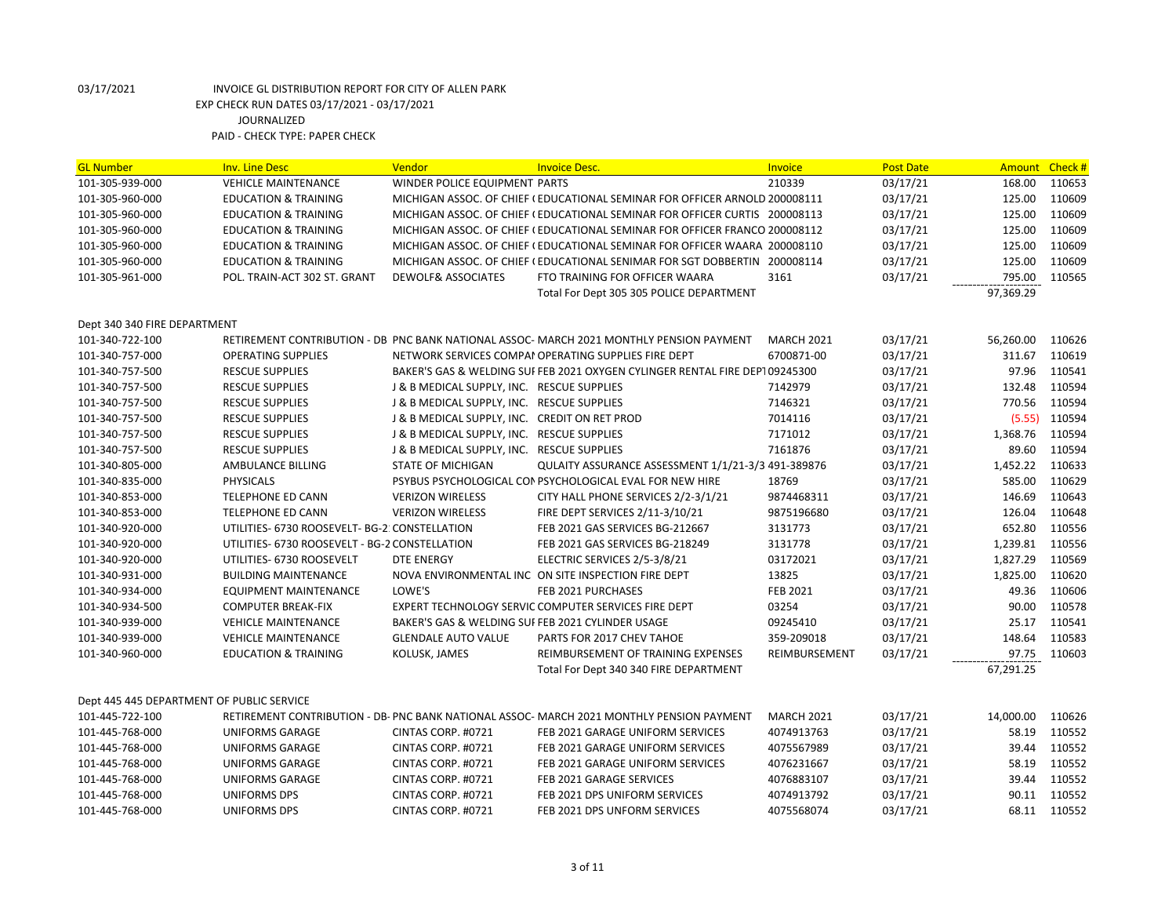| <b>GL Number</b>                          | <b>Inv. Line Desc</b>                          | Vendor                                           | <b>Invoice Desc.</b>                                                                      | Invoice           | <b>Post Date</b> | Amount Check # |        |
|-------------------------------------------|------------------------------------------------|--------------------------------------------------|-------------------------------------------------------------------------------------------|-------------------|------------------|----------------|--------|
| 101-305-939-000                           | <b>VEHICLE MAINTENANCE</b>                     | WINDER POLICE EQUIPMENT PARTS                    |                                                                                           | 210339            | 03/17/21         | 168.00         | 110653 |
| 101-305-960-000                           | <b>EDUCATION &amp; TRAINING</b>                |                                                  | MICHIGAN ASSOC. OF CHIEF (EDUCATIONAL SEMINAR FOR OFFICER ARNOLD 200008111                |                   | 03/17/21         | 125.00         | 110609 |
| 101-305-960-000                           | <b>EDUCATION &amp; TRAINING</b>                |                                                  | MICHIGAN ASSOC. OF CHIEF (EDUCATIONAL SEMINAR FOR OFFICER CURTIS 200008113                |                   | 03/17/21         | 125.00         | 110609 |
| 101-305-960-000                           | <b>EDUCATION &amp; TRAINING</b>                |                                                  | MICHIGAN ASSOC. OF CHIEF (EDUCATIONAL SEMINAR FOR OFFICER FRANCO 200008112                |                   | 03/17/21         | 125.00         | 110609 |
| 101-305-960-000                           | <b>EDUCATION &amp; TRAINING</b>                |                                                  | MICHIGAN ASSOC. OF CHIEF (EDUCATIONAL SEMINAR FOR OFFICER WAARA 200008110                 |                   | 03/17/21         | 125.00         | 110609 |
| 101-305-960-000                           | <b>EDUCATION &amp; TRAINING</b>                |                                                  | MICHIGAN ASSOC. OF CHIEF (EDUCATIONAL SENIMAR FOR SGT DOBBERTIN 200008114                 |                   | 03/17/21         | 125.00         | 110609 |
| 101-305-961-000                           | POL. TRAIN-ACT 302 ST. GRANT                   | <b>DEWOLF&amp; ASSOCIATES</b>                    | FTO TRAINING FOR OFFICER WAARA                                                            | 3161              | 03/17/21         | 795.00         | 110565 |
|                                           |                                                |                                                  | Total For Dept 305 305 POLICE DEPARTMENT                                                  |                   |                  | 97,369.29      |        |
|                                           |                                                |                                                  |                                                                                           |                   |                  |                |        |
| Dept 340 340 FIRE DEPARTMENT              |                                                |                                                  |                                                                                           |                   |                  |                |        |
| 101-340-722-100                           |                                                |                                                  | RETIREMENT CONTRIBUTION - DB PNC BANK NATIONAL ASSOC- MARCH 2021 MONTHLY PENSION PAYMENT  | <b>MARCH 2021</b> | 03/17/21         | 56,260.00      | 110626 |
| 101-340-757-000                           | <b>OPERATING SUPPLIES</b>                      |                                                  | NETWORK SERVICES COMPAI OPERATING SUPPLIES FIRE DEPT                                      | 6700871-00        | 03/17/21         | 311.67         | 110619 |
| 101-340-757-500                           | <b>RESCUE SUPPLIES</b>                         |                                                  | BAKER'S GAS & WELDING SUI FEB 2021 OXYGEN CYLINGER RENTAL FIRE DEP109245300               |                   | 03/17/21         | 97.96          | 110541 |
| 101-340-757-500                           | <b>RESCUE SUPPLIES</b>                         | J & B MEDICAL SUPPLY, INC. RESCUE SUPPLIES       |                                                                                           | 7142979           | 03/17/21         | 132.48         | 110594 |
| 101-340-757-500                           | <b>RESCUE SUPPLIES</b>                         | J & B MEDICAL SUPPLY, INC. RESCUE SUPPLIES       |                                                                                           | 7146321           | 03/17/21         | 770.56         | 110594 |
| 101-340-757-500                           | <b>RESCUE SUPPLIES</b>                         | J & B MEDICAL SUPPLY, INC. CREDIT ON RET PROD    |                                                                                           | 7014116           | 03/17/21         | (5.55)         | 110594 |
| 101-340-757-500                           | <b>RESCUE SUPPLIES</b>                         | J & B MEDICAL SUPPLY, INC. RESCUE SUPPLIES       |                                                                                           | 7171012           | 03/17/21         | 1,368.76       | 110594 |
| 101-340-757-500                           | <b>RESCUE SUPPLIES</b>                         | J & B MEDICAL SUPPLY, INC. RESCUE SUPPLIES       |                                                                                           | 7161876           | 03/17/21         | 89.60          | 110594 |
| 101-340-805-000                           | AMBULANCE BILLING                              | <b>STATE OF MICHIGAN</b>                         | QULAITY ASSURANCE ASSESSMENT 1/1/21-3/3 491-389876                                        |                   | 03/17/21         | 1,452.22       | 110633 |
| 101-340-835-000                           | <b>PHYSICALS</b>                               |                                                  | PSYBUS PSYCHOLOGICAL CON PSYCHOLOGICAL EVAL FOR NEW HIRE                                  | 18769             | 03/17/21         | 585.00         | 110629 |
| 101-340-853-000                           | <b>TELEPHONE ED CANN</b>                       | <b>VERIZON WIRELESS</b>                          | CITY HALL PHONE SERVICES 2/2-3/1/21                                                       | 9874468311        | 03/17/21         | 146.69         | 110643 |
| 101-340-853-000                           | <b>TELEPHONE ED CANN</b>                       | <b>VERIZON WIRELESS</b>                          | FIRE DEPT SERVICES 2/11-3/10/21                                                           | 9875196680        | 03/17/21         | 126.04         | 110648 |
| 101-340-920-000                           | UTILITIES- 6730 ROOSEVELT- BG-2: CONSTELLATION |                                                  | FEB 2021 GAS SERVICES BG-212667                                                           | 3131773           | 03/17/21         | 652.80         | 110556 |
| 101-340-920-000                           | UTILITIES- 6730 ROOSEVELT - BG-2 CONSTELLATION |                                                  | FEB 2021 GAS SERVICES BG-218249                                                           | 3131778           | 03/17/21         | 1,239.81       | 110556 |
| 101-340-920-000                           | UTILITIES- 6730 ROOSEVELT                      | DTE ENERGY                                       | ELECTRIC SERVICES 2/5-3/8/21                                                              | 03172021          | 03/17/21         | 1,827.29       | 110569 |
| 101-340-931-000                           | <b>BUILDING MAINTENANCE</b>                    |                                                  | NOVA ENVIRONMENTAL INC ON SITE INSPECTION FIRE DEPT                                       | 13825             | 03/17/21         | 1,825.00       | 110620 |
| 101-340-934-000                           | <b>EQUIPMENT MAINTENANCE</b>                   | LOWE'S                                           | FEB 2021 PURCHASES                                                                        | FEB 2021          | 03/17/21         | 49.36          | 110606 |
| 101-340-934-500                           | <b>COMPUTER BREAK-FIX</b>                      |                                                  | EXPERT TECHNOLOGY SERVIC COMPUTER SERVICES FIRE DEPT                                      | 03254             | 03/17/21         | 90.00          | 110578 |
| 101-340-939-000                           | <b>VEHICLE MAINTENANCE</b>                     | BAKER'S GAS & WELDING SUFFEB 2021 CYLINDER USAGE |                                                                                           | 09245410          | 03/17/21         | 25.17          | 110541 |
| 101-340-939-000                           | <b>VEHICLE MAINTENANCE</b>                     | <b>GLENDALE AUTO VALUE</b>                       | PARTS FOR 2017 CHEV TAHOE                                                                 | 359-209018        | 03/17/21         | 148.64         | 110583 |
| 101-340-960-000                           | <b>EDUCATION &amp; TRAINING</b>                | KOLUSK, JAMES                                    | REIMBURSEMENT OF TRAINING EXPENSES                                                        | REIMBURSEMENT     | 03/17/21         | 97.75          | 110603 |
|                                           |                                                |                                                  | Total For Dept 340 340 FIRE DEPARTMENT                                                    |                   |                  | 67,291.25      |        |
|                                           |                                                |                                                  |                                                                                           |                   |                  |                |        |
| Dept 445 445 DEPARTMENT OF PUBLIC SERVICE |                                                |                                                  |                                                                                           |                   |                  |                |        |
| 101-445-722-100                           |                                                |                                                  | RETIREMENT CONTRIBUTION - DB- PNC BANK NATIONAL ASSOC- MARCH 2021 MONTHLY PENSION PAYMENT | <b>MARCH 2021</b> | 03/17/21         | 14,000.00      | 110626 |
| 101-445-768-000                           | <b>UNIFORMS GARAGE</b>                         | CINTAS CORP. #0721                               | FEB 2021 GARAGE UNIFORM SERVICES                                                          | 4074913763        | 03/17/21         | 58.19          | 110552 |
| 101-445-768-000                           | <b>UNIFORMS GARAGE</b>                         | CINTAS CORP. #0721                               | FEB 2021 GARAGE UNIFORM SERVICES                                                          | 4075567989        | 03/17/21         | 39.44          | 110552 |
| 101-445-768-000                           | <b>UNIFORMS GARAGE</b>                         | CINTAS CORP. #0721                               | FEB 2021 GARAGE UNIFORM SERVICES                                                          | 4076231667        | 03/17/21         | 58.19          | 110552 |
| 101-445-768-000                           | UNIFORMS GARAGE                                | CINTAS CORP. #0721                               | FEB 2021 GARAGE SERVICES                                                                  | 4076883107        | 03/17/21         | 39.44          | 110552 |
| 101-445-768-000                           | <b>UNIFORMS DPS</b>                            | CINTAS CORP. #0721                               | FEB 2021 DPS UNIFORM SERVICES                                                             | 4074913792        | 03/17/21         | 90.11          | 110552 |
| 101-445-768-000                           | <b>UNIFORMS DPS</b>                            | CINTAS CORP. #0721                               | FEB 2021 DPS UNFORM SERVICES                                                              | 4075568074        | 03/17/21         | 68.11          | 110552 |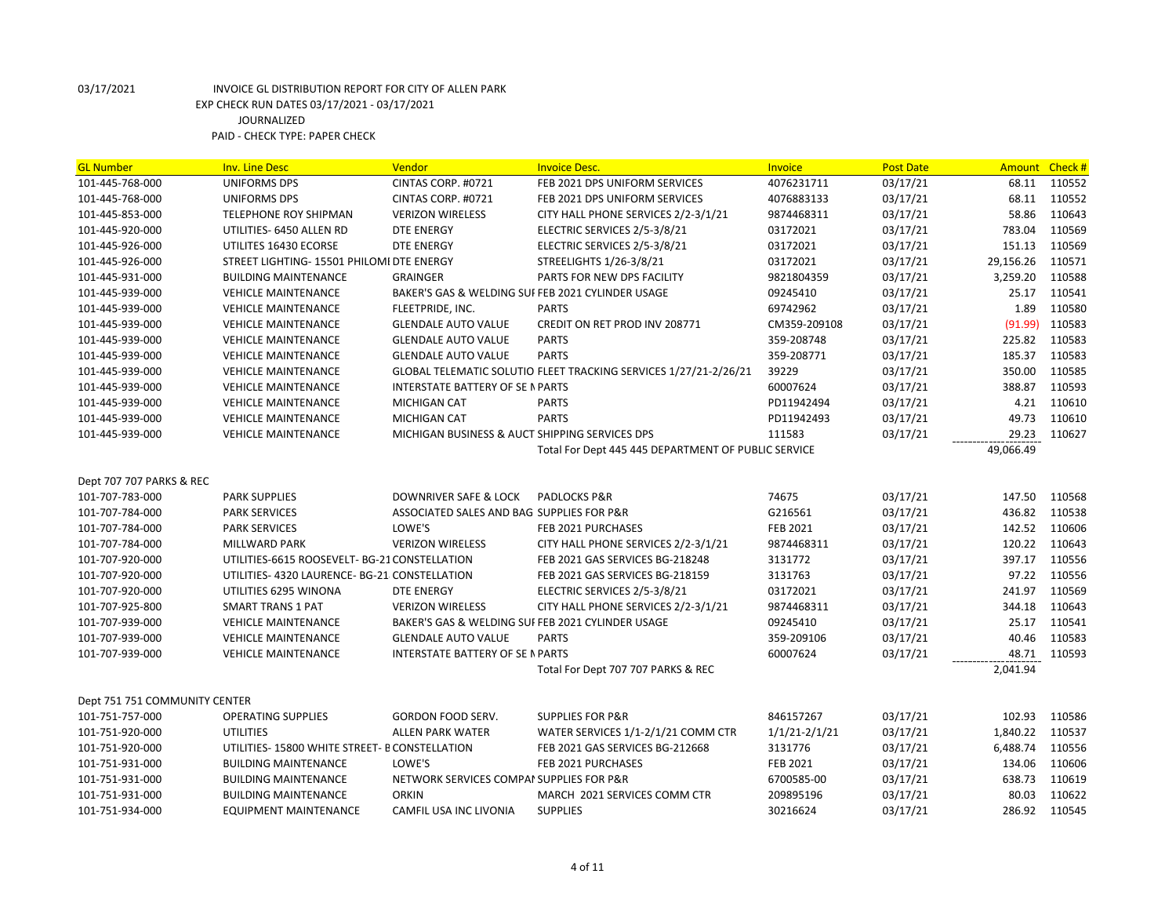| <b>GL Number</b>              | <b>Inv. Line Desc</b>                          | Vendor                                           | <b>Invoice Desc.</b>                                             | <b>Invoice</b>    | <b>Post Date</b> | Amount    | Check # |
|-------------------------------|------------------------------------------------|--------------------------------------------------|------------------------------------------------------------------|-------------------|------------------|-----------|---------|
| 101-445-768-000               | UNIFORMS DPS                                   | CINTAS CORP. #0721                               | FEB 2021 DPS UNIFORM SERVICES                                    | 4076231711        | 03/17/21         | 68.11     | 110552  |
| 101-445-768-000               | UNIFORMS DPS                                   | CINTAS CORP. #0721                               | FEB 2021 DPS UNIFORM SERVICES                                    | 4076883133        | 03/17/21         | 68.11     | 110552  |
| 101-445-853-000               | <b>TELEPHONE ROY SHIPMAN</b>                   | <b>VERIZON WIRELESS</b>                          | CITY HALL PHONE SERVICES 2/2-3/1/21                              | 9874468311        | 03/17/21         | 58.86     | 110643  |
| 101-445-920-000               | UTILITIES- 6450 ALLEN RD                       | <b>DTE ENERGY</b>                                | ELECTRIC SERVICES 2/5-3/8/21                                     | 03172021          | 03/17/21         | 783.04    | 110569  |
| 101-445-926-000               | UTILITES 16430 ECORSE                          | DTE ENERGY                                       | ELECTRIC SERVICES 2/5-3/8/21                                     | 03172021          | 03/17/21         | 151.13    | 110569  |
| 101-445-926-000               | STREET LIGHTING- 15501 PHILOMI DTE ENERGY      |                                                  | STREELIGHTS 1/26-3/8/21                                          | 03172021          | 03/17/21         | 29,156.26 | 110571  |
| 101-445-931-000               | <b>BUILDING MAINTENANCE</b>                    | <b>GRAINGER</b>                                  | PARTS FOR NEW DPS FACILITY                                       | 9821804359        | 03/17/21         | 3,259.20  | 110588  |
| 101-445-939-000               | <b>VEHICLE MAINTENANCE</b>                     | BAKER'S GAS & WELDING SUFFEB 2021 CYLINDER USAGE |                                                                  | 09245410          | 03/17/21         | 25.17     | 110541  |
| 101-445-939-000               | <b>VEHICLE MAINTENANCE</b>                     | FLEETPRIDE, INC.                                 | <b>PARTS</b>                                                     | 69742962          | 03/17/21         | 1.89      | 110580  |
| 101-445-939-000               | <b>VEHICLE MAINTENANCE</b>                     | <b>GLENDALE AUTO VALUE</b>                       | CREDIT ON RET PROD INV 208771                                    | CM359-209108      | 03/17/21         | (91.99)   | 110583  |
| 101-445-939-000               | <b>VEHICLE MAINTENANCE</b>                     | <b>GLENDALE AUTO VALUE</b>                       | <b>PARTS</b>                                                     | 359-208748        | 03/17/21         | 225.82    | 110583  |
| 101-445-939-000               | <b>VEHICLE MAINTENANCE</b>                     | <b>GLENDALE AUTO VALUE</b>                       | <b>PARTS</b>                                                     | 359-208771        | 03/17/21         | 185.37    | 110583  |
| 101-445-939-000               | <b>VEHICLE MAINTENANCE</b>                     |                                                  | GLOBAL TELEMATIC SOLUTIO FLEET TRACKING SERVICES 1/27/21-2/26/21 | 39229             | 03/17/21         | 350.00    | 110585  |
| 101-445-939-000               | <b>VEHICLE MAINTENANCE</b>                     | <b>INTERSTATE BATTERY OF SE N PARTS</b>          |                                                                  | 60007624          | 03/17/21         | 388.87    | 110593  |
| 101-445-939-000               | <b>VEHICLE MAINTENANCE</b>                     | <b>MICHIGAN CAT</b>                              | <b>PARTS</b>                                                     | PD11942494        | 03/17/21         | 4.21      | 110610  |
| 101-445-939-000               | <b>VEHICLE MAINTENANCE</b>                     | <b>MICHIGAN CAT</b>                              | <b>PARTS</b>                                                     | PD11942493        | 03/17/21         | 49.73     | 110610  |
| 101-445-939-000               | <b>VEHICLE MAINTENANCE</b>                     | MICHIGAN BUSINESS & AUCT SHIPPING SERVICES DPS   |                                                                  | 111583            | 03/17/21         | 29.23     | 110627  |
|                               |                                                |                                                  | Total For Dept 445 445 DEPARTMENT OF PUBLIC SERVICE              |                   |                  | 49,066.49 |         |
|                               |                                                |                                                  |                                                                  |                   |                  |           |         |
| Dept 707 707 PARKS & REC      |                                                |                                                  |                                                                  |                   |                  |           |         |
| 101-707-783-000               | <b>PARK SUPPLIES</b>                           | DOWNRIVER SAFE & LOCK                            | <b>PADLOCKS P&amp;R</b>                                          | 74675             | 03/17/21         | 147.50    | 110568  |
| 101-707-784-000               | <b>PARK SERVICES</b>                           | ASSOCIATED SALES AND BAG SUPPLIES FOR P&R        |                                                                  | G216561           | 03/17/21         | 436.82    | 110538  |
| 101-707-784-000               | <b>PARK SERVICES</b>                           | LOWE'S                                           | FEB 2021 PURCHASES                                               | FEB 2021          | 03/17/21         | 142.52    | 110606  |
| 101-707-784-000               | MILLWARD PARK                                  | <b>VERIZON WIRELESS</b>                          | CITY HALL PHONE SERVICES 2/2-3/1/21                              | 9874468311        | 03/17/21         | 120.22    | 110643  |
| 101-707-920-000               | UTILITIES-6615 ROOSEVELT- BG-21 CONSTELLATION  |                                                  | FEB 2021 GAS SERVICES BG-218248                                  | 3131772           | 03/17/21         | 397.17    | 110556  |
| 101-707-920-000               | UTILITIES-4320 LAURENCE-BG-21 CONSTELLATION    |                                                  | FEB 2021 GAS SERVICES BG-218159                                  | 3131763           | 03/17/21         | 97.22     | 110556  |
| 101-707-920-000               | UTILITIES 6295 WINONA                          | DTE ENERGY                                       | ELECTRIC SERVICES 2/5-3/8/21                                     | 03172021          | 03/17/21         | 241.97    | 110569  |
| 101-707-925-800               | <b>SMART TRANS 1 PAT</b>                       | <b>VERIZON WIRELESS</b>                          | CITY HALL PHONE SERVICES 2/2-3/1/21                              | 9874468311        | 03/17/21         | 344.18    | 110643  |
| 101-707-939-000               | <b>VEHICLE MAINTENANCE</b>                     | BAKER'S GAS & WELDING SUFFEB 2021 CYLINDER USAGE |                                                                  | 09245410          | 03/17/21         | 25.17     | 110541  |
| 101-707-939-000               | <b>VEHICLE MAINTENANCE</b>                     | <b>GLENDALE AUTO VALUE</b>                       | <b>PARTS</b>                                                     | 359-209106        | 03/17/21         | 40.46     | 110583  |
| 101-707-939-000               | <b>VEHICLE MAINTENANCE</b>                     | INTERSTATE BATTERY OF SE N PARTS                 |                                                                  | 60007624          | 03/17/21         | 48.71     | 110593  |
|                               |                                                |                                                  | Total For Dept 707 707 PARKS & REC                               |                   |                  | 2,041.94  |         |
|                               |                                                |                                                  |                                                                  |                   |                  |           |         |
| Dept 751 751 COMMUNITY CENTER |                                                |                                                  |                                                                  |                   |                  |           |         |
| 101-751-757-000               | <b>OPERATING SUPPLIES</b>                      | GORDON FOOD SERV.                                | <b>SUPPLIES FOR P&amp;R</b>                                      | 846157267         | 03/17/21         | 102.93    | 110586  |
| 101-751-920-000               | <b>UTILITIES</b>                               | <b>ALLEN PARK WATER</b>                          | WATER SERVICES 1/1-2/1/21 COMM CTR                               | $1/1/21 - 2/1/21$ | 03/17/21         | 1,840.22  | 110537  |
| 101-751-920-000               | UTILITIES- 15800 WHITE STREET- B CONSTELLATION |                                                  | FEB 2021 GAS SERVICES BG-212668                                  | 3131776           | 03/17/21         | 6,488.74  | 110556  |
| 101-751-931-000               | <b>BUILDING MAINTENANCE</b>                    | LOWE'S                                           | FEB 2021 PURCHASES                                               | FEB 2021          | 03/17/21         | 134.06    | 110606  |
| 101-751-931-000               | <b>BUILDING MAINTENANCE</b>                    | NETWORK SERVICES COMPAI SUPPLIES FOR P&R         |                                                                  | 6700585-00        | 03/17/21         | 638.73    | 110619  |
| 101-751-931-000               | <b>BUILDING MAINTENANCE</b>                    | <b>ORKIN</b>                                     | MARCH 2021 SERVICES COMM CTR                                     | 209895196         | 03/17/21         | 80.03     | 110622  |
| 101-751-934-000               | <b>EQUIPMENT MAINTENANCE</b>                   | CAMFIL USA INC LIVONIA                           | <b>SUPPLIES</b>                                                  | 30216624          | 03/17/21         | 286.92    | 110545  |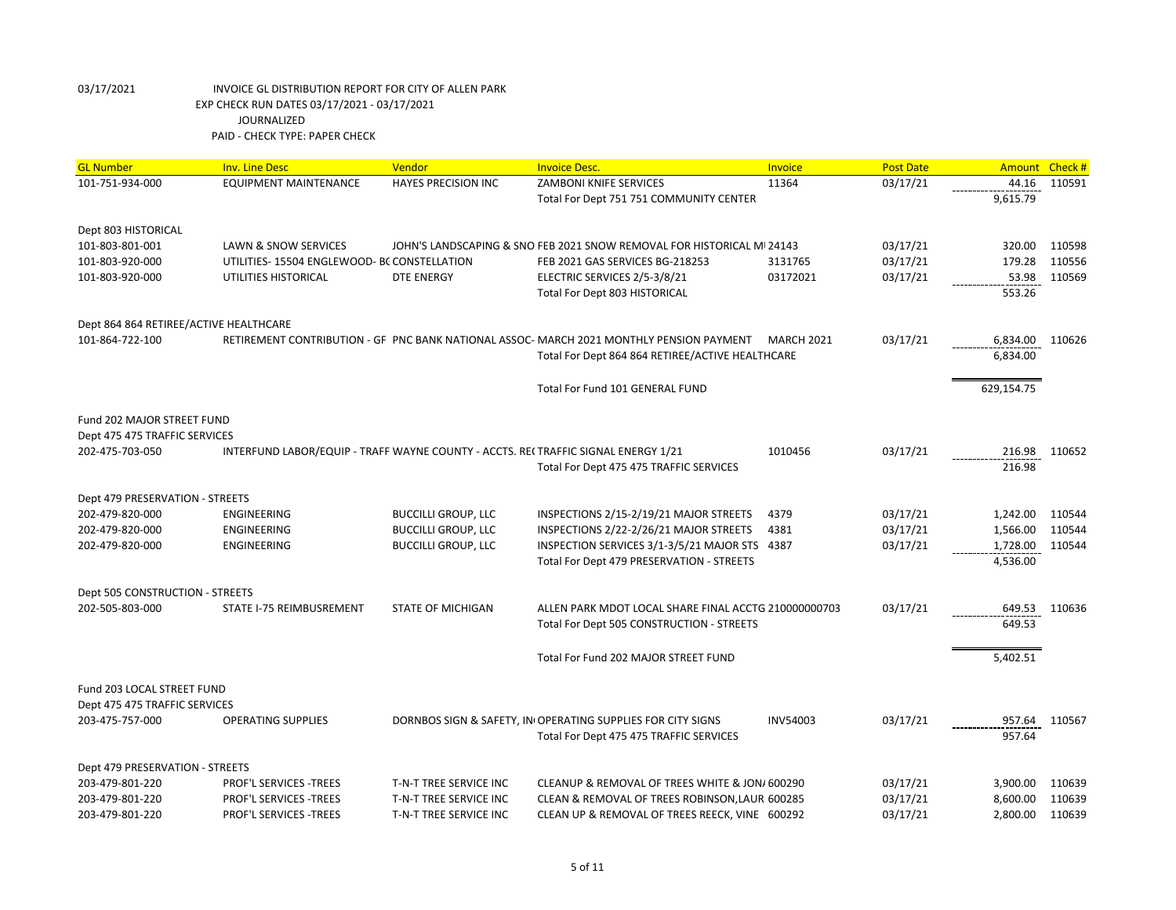| <b>GL Number</b>                       | <b>Inv. Line Desc</b>                                                              | Vendor                     | <b>Invoice Desc.</b>                                                                     | <b>Invoice</b>    | <b>Post Date</b> | Amount     | Check# |
|----------------------------------------|------------------------------------------------------------------------------------|----------------------------|------------------------------------------------------------------------------------------|-------------------|------------------|------------|--------|
| 101-751-934-000                        | <b>EQUIPMENT MAINTENANCE</b>                                                       | <b>HAYES PRECISION INC</b> | <b>ZAMBONI KNIFE SERVICES</b>                                                            | 11364             | 03/17/21         | 44.16      | 110591 |
|                                        |                                                                                    |                            | Total For Dept 751 751 COMMUNITY CENTER                                                  |                   |                  | 9,615.79   |        |
| Dept 803 HISTORICAL                    |                                                                                    |                            |                                                                                          |                   |                  |            |        |
| 101-803-801-001                        | LAWN & SNOW SERVICES                                                               |                            | JOHN'S LANDSCAPING & SNO FEB 2021 SNOW REMOVAL FOR HISTORICAL MI 24143                   |                   | 03/17/21         | 320.00     | 110598 |
| 101-803-920-000                        | UTILITIES-15504 ENGLEWOOD- BC CONSTELLATION                                        |                            | FEB 2021 GAS SERVICES BG-218253                                                          | 3131765           | 03/17/21         | 179.28     | 110556 |
| 101-803-920-000                        | UTILITIES HISTORICAL                                                               | <b>DTE ENERGY</b>          | ELECTRIC SERVICES 2/5-3/8/21                                                             | 03172021          | 03/17/21         | 53.98      | 110569 |
|                                        |                                                                                    |                            | Total For Dept 803 HISTORICAL                                                            |                   |                  | 553.26     |        |
| Dept 864 864 RETIREE/ACTIVE HEALTHCARE |                                                                                    |                            |                                                                                          |                   |                  |            |        |
| 101-864-722-100                        |                                                                                    |                            | RETIREMENT CONTRIBUTION - GF PNC BANK NATIONAL ASSOC- MARCH 2021 MONTHLY PENSION PAYMENT | <b>MARCH 2021</b> | 03/17/21         | 6,834.00   | 110626 |
|                                        |                                                                                    |                            | Total For Dept 864 864 RETIREE/ACTIVE HEALTHCARE                                         |                   |                  | 6,834.00   |        |
|                                        |                                                                                    |                            | Total For Fund 101 GENERAL FUND                                                          |                   |                  | 629,154.75 |        |
| Fund 202 MAJOR STREET FUND             |                                                                                    |                            |                                                                                          |                   |                  |            |        |
| Dept 475 475 TRAFFIC SERVICES          |                                                                                    |                            |                                                                                          |                   |                  |            |        |
| 202-475-703-050                        | INTERFUND LABOR/EQUIP - TRAFF WAYNE COUNTY - ACCTS. REI TRAFFIC SIGNAL ENERGY 1/21 |                            |                                                                                          | 1010456           | 03/17/21         | 216.98     | 110652 |
|                                        |                                                                                    |                            | Total For Dept 475 475 TRAFFIC SERVICES                                                  |                   |                  | 216.98     |        |
| Dept 479 PRESERVATION - STREETS        |                                                                                    |                            |                                                                                          |                   |                  |            |        |
| 202-479-820-000                        | <b>ENGINEERING</b>                                                                 | <b>BUCCILLI GROUP, LLC</b> | INSPECTIONS 2/15-2/19/21 MAJOR STREETS                                                   | 4379              | 03/17/21         | 1,242.00   | 110544 |
| 202-479-820-000                        | ENGINEERING                                                                        | <b>BUCCILLI GROUP, LLC</b> | INSPECTIONS 2/22-2/26/21 MAJOR STREETS                                                   | 4381              | 03/17/21         | 1,566.00   | 110544 |
| 202-479-820-000                        | ENGINEERING                                                                        | <b>BUCCILLI GROUP, LLC</b> | INSPECTION SERVICES 3/1-3/5/21 MAJOR STS 4387                                            |                   | 03/17/21         | 1,728.00   | 110544 |
|                                        |                                                                                    |                            | Total For Dept 479 PRESERVATION - STREETS                                                |                   |                  | 4,536.00   |        |
| Dept 505 CONSTRUCTION - STREETS        |                                                                                    |                            |                                                                                          |                   |                  |            |        |
| 202-505-803-000                        | STATE I-75 REIMBUSREMENT                                                           | <b>STATE OF MICHIGAN</b>   | ALLEN PARK MDOT LOCAL SHARE FINAL ACCTG 210000000703                                     |                   | 03/17/21         | 649.53     | 110636 |
|                                        |                                                                                    |                            | Total For Dept 505 CONSTRUCTION - STREETS                                                |                   |                  | 649.53     |        |
|                                        |                                                                                    |                            | Total For Fund 202 MAJOR STREET FUND                                                     |                   |                  | 5,402.51   |        |
| Fund 203 LOCAL STREET FUND             |                                                                                    |                            |                                                                                          |                   |                  |            |        |
| Dept 475 475 TRAFFIC SERVICES          |                                                                                    |                            |                                                                                          |                   |                  |            |        |
| 203-475-757-000                        | <b>OPERATING SUPPLIES</b>                                                          |                            | DORNBOS SIGN & SAFETY, IN OPERATING SUPPLIES FOR CITY SIGNS                              | <b>INV54003</b>   | 03/17/21         | 957.64     | 110567 |
|                                        |                                                                                    |                            | Total For Dept 475 475 TRAFFIC SERVICES                                                  |                   |                  | 957.64     |        |
| Dept 479 PRESERVATION - STREETS        |                                                                                    |                            |                                                                                          |                   |                  |            |        |
| 203-479-801-220                        | PROF'L SERVICES -TREES                                                             | T-N-T TREE SERVICE INC     | CLEANUP & REMOVAL OF TREES WHITE & JON/ 600290                                           |                   | 03/17/21         | 3,900.00   | 110639 |
| 203-479-801-220                        | PROF'L SERVICES -TREES                                                             | T-N-T TREE SERVICE INC     | CLEAN & REMOVAL OF TREES ROBINSON, LAURI 600285                                          |                   | 03/17/21         | 8,600.00   | 110639 |
| 203-479-801-220                        | PROF'L SERVICES -TREES                                                             | T-N-T TREE SERVICE INC     | CLEAN UP & REMOVAL OF TREES REECK, VINE 600292                                           |                   | 03/17/21         | 2,800.00   | 110639 |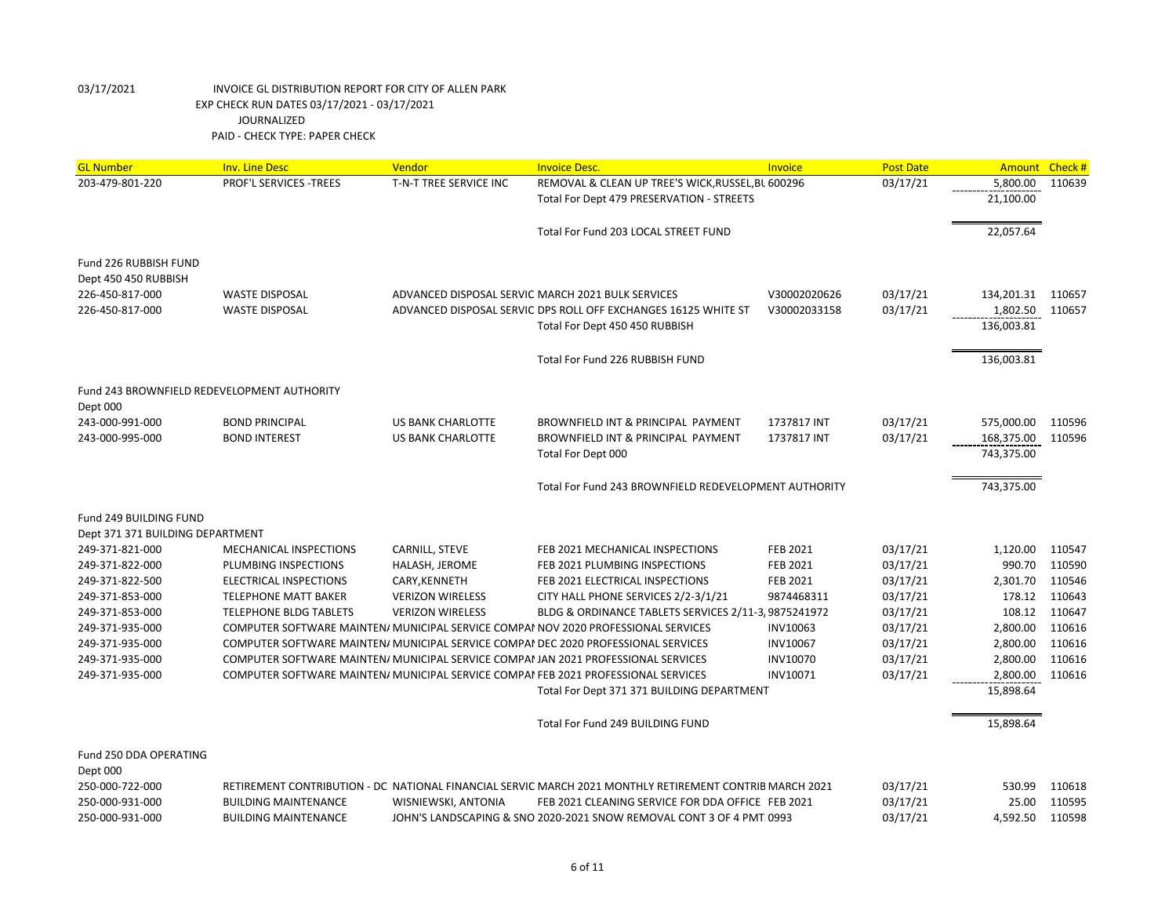| <b>GL Number</b>                            | <b>Inv. Line Desc</b>                          | Vendor                          | <b>Invoice Desc.</b>                                                                                    | Invoice                     | <b>Post Date</b>     | <b>Amount</b>      | Check# |
|---------------------------------------------|------------------------------------------------|---------------------------------|---------------------------------------------------------------------------------------------------------|-----------------------------|----------------------|--------------------|--------|
| 203-479-801-220                             | PROF'L SERVICES - TREES                        | T-N-T TREE SERVICE INC          | REMOVAL & CLEAN UP TREE'S WICK, RUSSEL, BL 600296                                                       |                             | 03/17/21             | 5,800.00           | 110639 |
|                                             |                                                |                                 | Total For Dept 479 PRESERVATION - STREETS                                                               |                             |                      | 21,100.00          |        |
|                                             |                                                |                                 |                                                                                                         |                             |                      |                    |        |
|                                             |                                                |                                 | Total For Fund 203 LOCAL STREET FUND                                                                    |                             |                      | 22,057.64          |        |
|                                             |                                                |                                 |                                                                                                         |                             |                      |                    |        |
| Fund 226 RUBBISH FUND                       |                                                |                                 |                                                                                                         |                             |                      |                    |        |
| Dept 450 450 RUBBISH                        |                                                |                                 |                                                                                                         |                             |                      |                    |        |
| 226-450-817-000                             | <b>WASTE DISPOSAL</b>                          |                                 | ADVANCED DISPOSAL SERVIC MARCH 2021 BULK SERVICES                                                       | V30002020626                | 03/17/21             | 134,201.31 110657  |        |
| 226-450-817-000                             | <b>WASTE DISPOSAL</b>                          |                                 | ADVANCED DISPOSAL SERVIC DPS ROLL OFF EXCHANGES 16125 WHITE ST                                          | V30002033158                | 03/17/21             | 1,802.50           | 110657 |
|                                             |                                                |                                 | Total For Dept 450 450 RUBBISH                                                                          |                             |                      | 136,003.81         |        |
|                                             |                                                |                                 | Total For Fund 226 RUBBISH FUND                                                                         |                             |                      |                    |        |
|                                             |                                                |                                 |                                                                                                         |                             |                      | 136,003.81         |        |
| Fund 243 BROWNFIELD REDEVELOPMENT AUTHORITY |                                                |                                 |                                                                                                         |                             |                      |                    |        |
| Dept 000                                    |                                                |                                 |                                                                                                         |                             |                      |                    |        |
| 243-000-991-000                             | <b>BOND PRINCIPAL</b>                          | <b>US BANK CHARLOTTE</b>        | BROWNFIELD INT & PRINCIPAL PAYMENT                                                                      | 1737817 INT                 | 03/17/21             | 575,000.00         | 110596 |
| 243-000-995-000                             | <b>BOND INTEREST</b>                           | <b>US BANK CHARLOTTE</b>        | BROWNFIELD INT & PRINCIPAL PAYMENT                                                                      | 1737817 INT                 | 03/17/21             | 168,375.00         | 110596 |
|                                             |                                                |                                 | Total For Dept 000                                                                                      |                             |                      | 743,375.00         |        |
|                                             |                                                |                                 |                                                                                                         |                             |                      |                    |        |
|                                             |                                                |                                 | Total For Fund 243 BROWNFIELD REDEVELOPMENT AUTHORITY                                                   |                             |                      | 743,375.00         |        |
|                                             |                                                |                                 |                                                                                                         |                             |                      |                    |        |
| Fund 249 BUILDING FUND                      |                                                |                                 |                                                                                                         |                             |                      |                    |        |
| Dept 371 371 BUILDING DEPARTMENT            |                                                |                                 |                                                                                                         |                             |                      |                    | 110547 |
| 249-371-821-000                             | MECHANICAL INSPECTIONS<br>PLUMBING INSPECTIONS | CARNILL, STEVE                  | FEB 2021 MECHANICAL INSPECTIONS                                                                         | <b>FEB 2021</b><br>FEB 2021 | 03/17/21<br>03/17/21 | 1,120.00<br>990.70 | 110590 |
| 249-371-822-000<br>249-371-822-500          | ELECTRICAL INSPECTIONS                         | HALASH, JEROME<br>CARY, KENNETH | FEB 2021 PLUMBING INSPECTIONS<br>FEB 2021 ELECTRICAL INSPECTIONS                                        | FEB 2021                    | 03/17/21             | 2,301.70           | 110546 |
| 249-371-853-000                             | <b>TELEPHONE MATT BAKER</b>                    | <b>VERIZON WIRELESS</b>         | CITY HALL PHONE SERVICES 2/2-3/1/21                                                                     | 9874468311                  | 03/17/21             | 178.12             | 110643 |
| 249-371-853-000                             | <b>TELEPHONE BLDG TABLETS</b>                  | <b>VERIZON WIRELESS</b>         | BLDG & ORDINANCE TABLETS SERVICES 2/11-3, 9875241972                                                    |                             | 03/17/21             | 108.12             | 110647 |
| 249-371-935-000                             |                                                |                                 | COMPUTER SOFTWARE MAINTEN/ MUNICIPAL SERVICE COMPAI NOV 2020 PROFESSIONAL SERVICES                      | INV10063                    | 03/17/21             | 2,800.00           | 110616 |
| 249-371-935-000                             |                                                |                                 | COMPUTER SOFTWARE MAINTEN/ MUNICIPAL SERVICE COMPAI DEC 2020 PROFESSIONAL SERVICES                      | INV10067                    | 03/17/21             | 2,800.00           | 110616 |
| 249-371-935-000                             |                                                |                                 | COMPUTER SOFTWARE MAINTEN/ MUNICIPAL SERVICE COMPAI JAN 2021 PROFESSIONAL SERVICES                      | <b>INV10070</b>             | 03/17/21             | 2,800.00           | 110616 |
| 249-371-935-000                             |                                                |                                 | COMPUTER SOFTWARE MAINTEN/ MUNICIPAL SERVICE COMPAI FEB 2021 PROFESSIONAL SERVICES                      | INV10071                    | 03/17/21             | 2,800.00           | 110616 |
|                                             |                                                |                                 | Total For Dept 371 371 BUILDING DEPARTMENT                                                              |                             |                      | 15,898.64          |        |
|                                             |                                                |                                 |                                                                                                         |                             |                      |                    |        |
|                                             |                                                |                                 | Total For Fund 249 BUILDING FUND                                                                        |                             |                      | 15,898.64          |        |
| Fund 250 DDA OPERATING                      |                                                |                                 |                                                                                                         |                             |                      |                    |        |
| Dept 000                                    |                                                |                                 |                                                                                                         |                             |                      |                    |        |
| 250-000-722-000                             |                                                |                                 | RETIREMENT CONTRIBUTION - DC NATIONAL FINANCIAL SERVIC MARCH 2021 MONTHLY RETIREMENT CONTRIB MARCH 2021 |                             | 03/17/21             | 530.99             | 110618 |
| 250-000-931-000                             | <b>BUILDING MAINTENANCE</b>                    | WISNIEWSKI, ANTONIA             | FEB 2021 CLEANING SERVICE FOR DDA OFFICE FEB 2021                                                       |                             | 03/17/21             | 25.00              | 110595 |
| 250-000-931-000                             | <b>BUILDING MAINTENANCE</b>                    |                                 | JOHN'S LANDSCAPING & SNO 2020-2021 SNOW REMOVAL CONT 3 OF 4 PMT 0993                                    |                             | 03/17/21             | 4,592.50           | 110598 |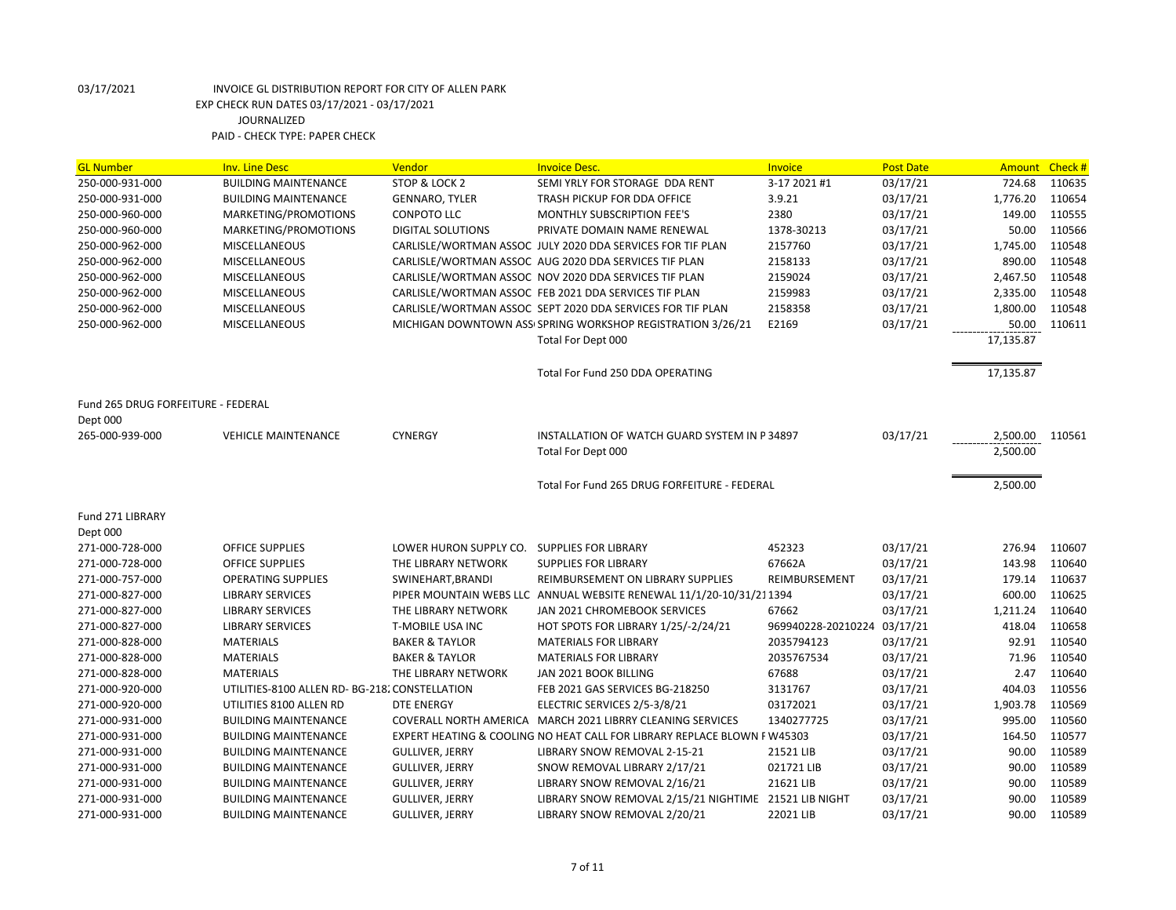| <b>GL Number</b>                   | <b>Inv. Line Desc</b>                          | Vendor                                      | <b>Invoice Desc.</b>                                                     | Invoice            | <b>Post Date</b> | Amount          | Check # |
|------------------------------------|------------------------------------------------|---------------------------------------------|--------------------------------------------------------------------------|--------------------|------------------|-----------------|---------|
| 250-000-931-000                    | <b>BUILDING MAINTENANCE</b>                    | STOP & LOCK 2                               | SEMI YRLY FOR STORAGE DDA RENT                                           | 3-17 2021 #1       | 03/17/21         | 724.68          | 110635  |
| 250-000-931-000                    | <b>BUILDING MAINTENANCE</b>                    | <b>GENNARO, TYLER</b>                       | TRASH PICKUP FOR DDA OFFICE                                              | 3.9.21             | 03/17/21         | 1,776.20        | 110654  |
| 250-000-960-000                    | MARKETING/PROMOTIONS                           | <b>CONPOTO LLC</b>                          | MONTHLY SUBSCRIPTION FEE'S                                               | 2380               | 03/17/21         | 149.00          | 110555  |
| 250-000-960-000                    | MARKETING/PROMOTIONS                           | <b>DIGITAL SOLUTIONS</b>                    | PRIVATE DOMAIN NAME RENEWAL                                              | 1378-30213         | 03/17/21         | 50.00           | 110566  |
| 250-000-962-000                    | <b>MISCELLANEOUS</b>                           |                                             | CARLISLE/WORTMAN ASSOC JULY 2020 DDA SERVICES FOR TIF PLAN               | 2157760            | 03/17/21         | 1,745.00        | 110548  |
| 250-000-962-000                    | MISCELLANEOUS                                  |                                             | CARLISLE/WORTMAN ASSOC AUG 2020 DDA SERVICES TIF PLAN                    | 2158133            | 03/17/21         | 890.00          | 110548  |
| 250-000-962-000                    | <b>MISCELLANEOUS</b>                           |                                             | CARLISLE/WORTMAN ASSOC NOV 2020 DDA SERVICES TIF PLAN                    | 2159024            | 03/17/21         | 2,467.50        | 110548  |
| 250-000-962-000                    | MISCELLANEOUS                                  |                                             | CARLISLE/WORTMAN ASSOC FEB 2021 DDA SERVICES TIF PLAN                    | 2159983            | 03/17/21         | 2,335.00        | 110548  |
| 250-000-962-000                    | MISCELLANEOUS                                  |                                             | CARLISLE/WORTMAN ASSOC SEPT 2020 DDA SERVICES FOR TIF PLAN               | 2158358            | 03/17/21         | 1,800.00        | 110548  |
| 250-000-962-000                    | MISCELLANEOUS                                  |                                             | MICHIGAN DOWNTOWN ASS SPRING WORKSHOP REGISTRATION 3/26/21               | E2169              | 03/17/21         | 50.00           | 110611  |
|                                    |                                                |                                             | Total For Dept 000                                                       |                    |                  | 17,135.87       |         |
|                                    |                                                |                                             | Total For Fund 250 DDA OPERATING                                         |                    |                  | 17,135.87       |         |
| Fund 265 DRUG FORFEITURE - FEDERAL |                                                |                                             |                                                                          |                    |                  |                 |         |
| Dept 000                           |                                                |                                             |                                                                          |                    |                  |                 |         |
| 265-000-939-000                    | <b>VEHICLE MAINTENANCE</b>                     | <b>CYNERGY</b>                              | INSTALLATION OF WATCH GUARD SYSTEM IN P34897                             |                    | 03/17/21         | 2,500.00 110561 |         |
|                                    |                                                |                                             | Total For Dept 000                                                       |                    |                  | 2,500.00        |         |
|                                    |                                                |                                             | Total For Fund 265 DRUG FORFEITURE - FEDERAL                             |                    |                  | 2,500.00        |         |
|                                    |                                                |                                             |                                                                          |                    |                  |                 |         |
| Fund 271 LIBRARY                   |                                                |                                             |                                                                          |                    |                  |                 |         |
| Dept 000                           |                                                |                                             |                                                                          |                    |                  |                 |         |
| 271-000-728-000                    | <b>OFFICE SUPPLIES</b>                         | LOWER HURON SUPPLY CO. SUPPLIES FOR LIBRARY |                                                                          | 452323             | 03/17/21         | 276.94          | 110607  |
| 271-000-728-000                    | <b>OFFICE SUPPLIES</b>                         | THE LIBRARY NETWORK                         | <b>SUPPLIES FOR LIBRARY</b>                                              | 67662A             | 03/17/21         | 143.98          | 110640  |
| 271-000-757-000                    | <b>OPERATING SUPPLIES</b>                      | SWINEHART, BRANDI                           | REIMBURSEMENT ON LIBRARY SUPPLIES                                        | REIMBURSEMENT      | 03/17/21         | 179.14          | 110637  |
| 271-000-827-000                    | <b>LIBRARY SERVICES</b>                        |                                             | PIPER MOUNTAIN WEBS LLC ANNUAL WEBSITE RENEWAL 11/1/20-10/31/211394      |                    | 03/17/21         | 600.00          | 110625  |
| 271-000-827-000                    | <b>LIBRARY SERVICES</b>                        | THE LIBRARY NETWORK                         | JAN 2021 CHROMEBOOK SERVICES                                             | 67662              | 03/17/21         | 1,211.24        | 110640  |
| 271-000-827-000                    | <b>LIBRARY SERVICES</b>                        | T-MOBILE USA INC                            | <b>HOT SPOTS FOR LIBRARY 1/25/-2/24/21</b>                               | 969940228-20210224 | 03/17/21         | 418.04          | 110658  |
| 271-000-828-000                    | <b>MATERIALS</b>                               | <b>BAKER &amp; TAYLOR</b>                   | <b>MATERIALS FOR LIBRARY</b>                                             | 2035794123         | 03/17/21         | 92.91           | 110540  |
| 271-000-828-000                    | <b>MATERIALS</b>                               | <b>BAKER &amp; TAYLOR</b>                   | <b>MATERIALS FOR LIBRARY</b>                                             | 2035767534         | 03/17/21         | 71.96           | 110540  |
| 271-000-828-000                    | <b>MATERIALS</b>                               | THE LIBRARY NETWORK                         | JAN 2021 BOOK BILLING                                                    | 67688              | 03/17/21         | 2.47            | 110640  |
| 271-000-920-000                    | UTILITIES-8100 ALLEN RD- BG-218. CONSTELLATION |                                             | FEB 2021 GAS SERVICES BG-218250                                          | 3131767            | 03/17/21         | 404.03          | 110556  |
| 271-000-920-000                    | UTILITIES 8100 ALLEN RD                        | <b>DTE ENERGY</b>                           | ELECTRIC SERVICES 2/5-3/8/21                                             | 03172021           | 03/17/21         | 1,903.78        | 110569  |
| 271-000-931-000                    | <b>BUILDING MAINTENANCE</b>                    |                                             | COVERALL NORTH AMERICA MARCH 2021 LIBRRY CLEANING SERVICES               | 1340277725         | 03/17/21         | 995.00          | 110560  |
| 271-000-931-000                    | <b>BUILDING MAINTENANCE</b>                    |                                             | EXPERT HEATING & COOLING NO HEAT CALL FOR LIBRARY REPLACE BLOWN F W45303 |                    | 03/17/21         | 164.50          | 110577  |
| 271-000-931-000                    | <b>BUILDING MAINTENANCE</b>                    | <b>GULLIVER, JERRY</b>                      | LIBRARY SNOW REMOVAL 2-15-21                                             | 21521 LIB          | 03/17/21         | 90.00           | 110589  |
| 271-000-931-000                    | <b>BUILDING MAINTENANCE</b>                    | <b>GULLIVER, JERRY</b>                      | SNOW REMOVAL LIBRARY 2/17/21                                             | 021721 LIB         | 03/17/21         | 90.00           | 110589  |
| 271-000-931-000                    | <b>BUILDING MAINTENANCE</b>                    | <b>GULLIVER, JERRY</b>                      | LIBRARY SNOW REMOVAL 2/16/21                                             | 21621 LIB          | 03/17/21         | 90.00           | 110589  |
| 271-000-931-000                    | <b>BUILDING MAINTENANCE</b>                    | <b>GULLIVER, JERRY</b>                      | LIBRARY SNOW REMOVAL 2/15/21 NIGHTIME 21521 LIB NIGHT                    |                    | 03/17/21         | 90.00           | 110589  |
| 271-000-931-000                    | <b>BUILDING MAINTENANCE</b>                    | <b>GULLIVER, JERRY</b>                      | LIBRARY SNOW REMOVAL 2/20/21                                             | 22021 LIB          | 03/17/21         | 90.00           | 110589  |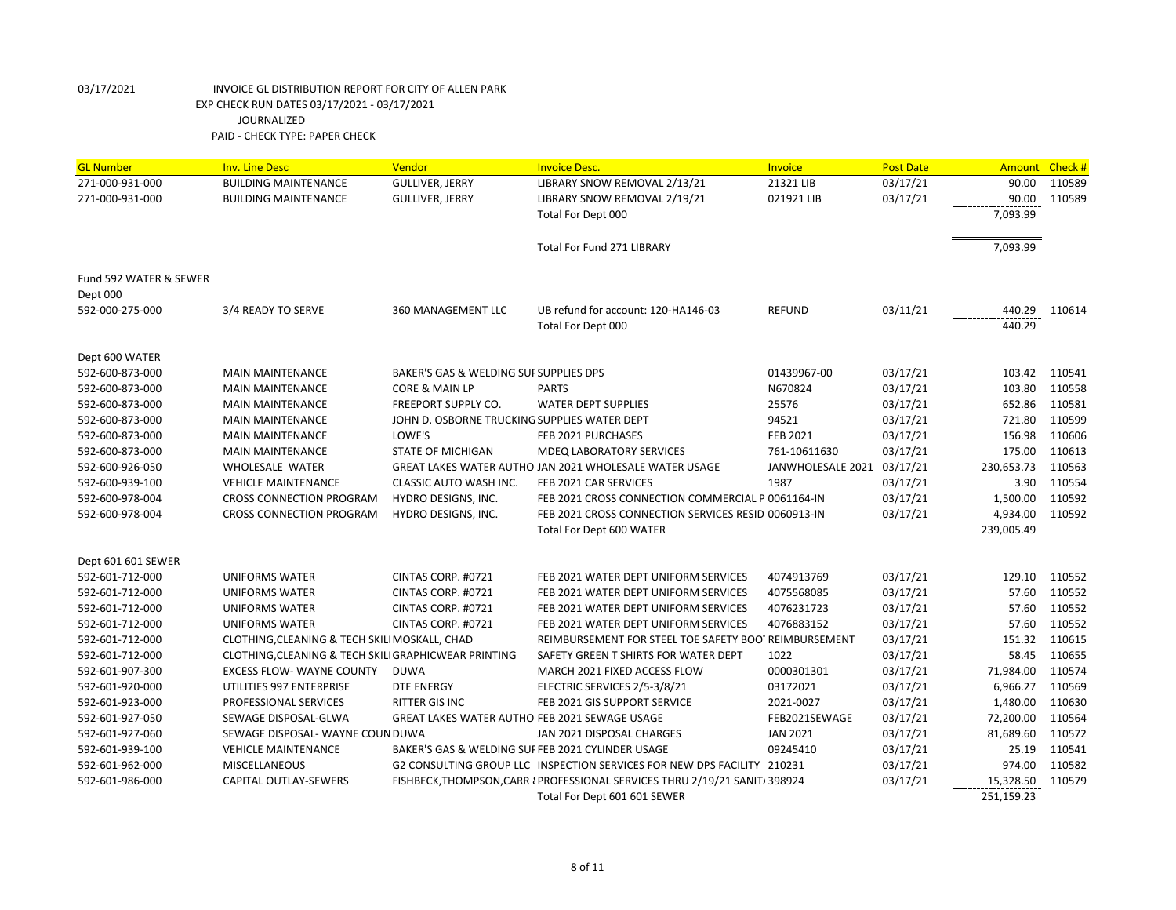| <b>GL Number</b>       | <b>Inv. Line Desc</b>                                | Vendor                                           | <b>Invoice Desc.</b>                                                        | Invoice                    | <b>Post Date</b> |            | Amount Check # |
|------------------------|------------------------------------------------------|--------------------------------------------------|-----------------------------------------------------------------------------|----------------------------|------------------|------------|----------------|
| 271-000-931-000        | <b>BUILDING MAINTENANCE</b>                          | <b>GULLIVER, JERRY</b>                           | LIBRARY SNOW REMOVAL 2/13/21                                                | 21321 LIB                  | 03/17/21         | 90.00      | 110589         |
| 271-000-931-000        | <b>BUILDING MAINTENANCE</b>                          | <b>GULLIVER, JERRY</b>                           | LIBRARY SNOW REMOVAL 2/19/21                                                | 021921 LIB                 | 03/17/21         | 90.00      | 110589         |
|                        |                                                      |                                                  | Total For Dept 000                                                          |                            |                  | 7,093.99   |                |
|                        |                                                      |                                                  |                                                                             |                            |                  |            |                |
|                        |                                                      |                                                  | Total For Fund 271 LIBRARY                                                  |                            |                  | 7,093.99   |                |
| Fund 592 WATER & SEWER |                                                      |                                                  |                                                                             |                            |                  |            |                |
| Dept 000               |                                                      |                                                  |                                                                             |                            |                  |            |                |
| 592-000-275-000        | 3/4 READY TO SERVE                                   | 360 MANAGEMENT LLC                               | UB refund for account: 120-HA146-03                                         | <b>REFUND</b>              | 03/11/21         | 440.29     | 110614         |
|                        |                                                      |                                                  | Total For Dept 000                                                          |                            |                  | 440.29     |                |
|                        |                                                      |                                                  |                                                                             |                            |                  |            |                |
| Dept 600 WATER         |                                                      |                                                  |                                                                             |                            |                  |            |                |
| 592-600-873-000        | <b>MAIN MAINTENANCE</b>                              | BAKER'S GAS & WELDING SUI SUPPLIES DPS           |                                                                             | 01439967-00                | 03/17/21         | 103.42     | 110541         |
| 592-600-873-000        | <b>MAIN MAINTENANCE</b>                              | CORE & MAIN LP                                   | <b>PARTS</b>                                                                | N670824                    | 03/17/21         | 103.80     | 110558         |
| 592-600-873-000        | <b>MAIN MAINTENANCE</b>                              | <b>FREEPORT SUPPLY CO.</b>                       | <b>WATER DEPT SUPPLIES</b>                                                  | 25576                      | 03/17/21         | 652.86     | 110581         |
| 592-600-873-000        | <b>MAIN MAINTENANCE</b>                              | JOHN D. OSBORNE TRUCKING SUPPLIES WATER DEPT     |                                                                             | 94521                      | 03/17/21         | 721.80     | 110599         |
| 592-600-873-000        | <b>MAIN MAINTENANCE</b>                              | LOWE'S                                           | FEB 2021 PURCHASES                                                          | FEB 2021                   | 03/17/21         | 156.98     | 110606         |
| 592-600-873-000        | <b>MAIN MAINTENANCE</b>                              | <b>STATE OF MICHIGAN</b>                         | <b>MDEQ LABORATORY SERVICES</b>                                             | 761-10611630               | 03/17/21         | 175.00     | 110613         |
| 592-600-926-050        | <b>WHOLESALE WATER</b>                               |                                                  | GREAT LAKES WATER AUTHO JAN 2021 WHOLESALE WATER USAGE                      | JANWHOLESALE 2021 03/17/21 |                  | 230,653.73 | 110563         |
| 592-600-939-100        | <b>VEHICLE MAINTENANCE</b>                           | CLASSIC AUTO WASH INC.                           | FEB 2021 CAR SERVICES                                                       | 1987                       | 03/17/21         | 3.90       | 110554         |
| 592-600-978-004        | <b>CROSS CONNECTION PROGRAM</b>                      | HYDRO DESIGNS, INC.                              | FEB 2021 CROSS CONNECTION COMMERCIAL P 0061164-IN                           |                            | 03/17/21         | 1,500.00   | 110592         |
| 592-600-978-004        | <b>CROSS CONNECTION PROGRAM</b>                      | HYDRO DESIGNS, INC.                              | FEB 2021 CROSS CONNECTION SERVICES RESIDI0060913-IN                         |                            | 03/17/21         | 4,934.00   | 110592         |
|                        |                                                      |                                                  | Total For Dept 600 WATER                                                    |                            |                  | 239,005.49 |                |
| Dept 601 601 SEWER     |                                                      |                                                  |                                                                             |                            |                  |            |                |
| 592-601-712-000        | <b>UNIFORMS WATER</b>                                | CINTAS CORP. #0721                               | FEB 2021 WATER DEPT UNIFORM SERVICES                                        | 4074913769                 | 03/17/21         | 129.10     | 110552         |
| 592-601-712-000        | <b>UNIFORMS WATER</b>                                | CINTAS CORP. #0721                               | FEB 2021 WATER DEPT UNIFORM SERVICES                                        | 4075568085                 | 03/17/21         | 57.60      | 110552         |
| 592-601-712-000        | UNIFORMS WATER                                       | CINTAS CORP. #0721                               | FEB 2021 WATER DEPT UNIFORM SERVICES                                        | 4076231723                 | 03/17/21         | 57.60      | 110552         |
| 592-601-712-000        | <b>UNIFORMS WATER</b>                                | CINTAS CORP. #0721                               | FEB 2021 WATER DEPT UNIFORM SERVICES                                        | 4076883152                 | 03/17/21         | 57.60      | 110552         |
| 592-601-712-000        | CLOTHING, CLEANING & TECH SKILI MOSKALL, CHAD        |                                                  | REIMBURSEMENT FOR STEEL TOE SAFETY BOOTREIMBURSEMENT                        |                            | 03/17/21         | 151.32     | 110615         |
| 592-601-712-000        | CLOTHING, CLEANING & TECH SKILI GRAPHICWEAR PRINTING |                                                  | SAFETY GREEN T SHIRTS FOR WATER DEPT                                        | 1022                       | 03/17/21         | 58.45      | 110655         |
| 592-601-907-300        | <b>EXCESS FLOW- WAYNE COUNTY</b>                     | <b>DUWA</b>                                      | MARCH 2021 FIXED ACCESS FLOW                                                | 0000301301                 | 03/17/21         | 71,984.00  | 110574         |
| 592-601-920-000        | UTILITIES 997 ENTERPRISE                             | <b>DTE ENERGY</b>                                | ELECTRIC SERVICES 2/5-3/8/21                                                | 03172021                   | 03/17/21         | 6,966.27   | 110569         |
| 592-601-923-000        | PROFESSIONAL SERVICES                                | RITTER GIS INC                                   | FEB 2021 GIS SUPPORT SERVICE                                                | 2021-0027                  | 03/17/21         | 1,480.00   | 110630         |
| 592-601-927-050        | SEWAGE DISPOSAL-GLWA                                 | GREAT LAKES WATER AUTHO FEB 2021 SEWAGE USAGE    |                                                                             | FEB2021SEWAGE              | 03/17/21         | 72,200.00  | 110564         |
| 592-601-927-060        | SEWAGE DISPOSAL- WAYNE COUN DUWA                     |                                                  | JAN 2021 DISPOSAL CHARGES                                                   | <b>JAN 2021</b>            | 03/17/21         | 81,689.60  | 110572         |
| 592-601-939-100        | <b>VEHICLE MAINTENANCE</b>                           | BAKER'S GAS & WELDING SUFFEB 2021 CYLINDER USAGE |                                                                             | 09245410                   | 03/17/21         | 25.19      | 110541         |
| 592-601-962-000        | <b>MISCELLANEOUS</b>                                 |                                                  | G2 CONSULTING GROUP LLC INSPECTION SERVICES FOR NEW DPS FACILITY 210231     |                            | 03/17/21         | 974.00     | 110582         |
| 592-601-986-000        | CAPITAL OUTLAY-SEWERS                                |                                                  | FISHBECK, THOMPSON, CARR I PROFESSIONAL SERVICES THRU 2/19/21 SANIT/ 398924 |                            | 03/17/21         | 15,328.50  | 110579         |
|                        |                                                      |                                                  | Total For Dept 601 601 SEWER                                                |                            |                  | 251,159.23 |                |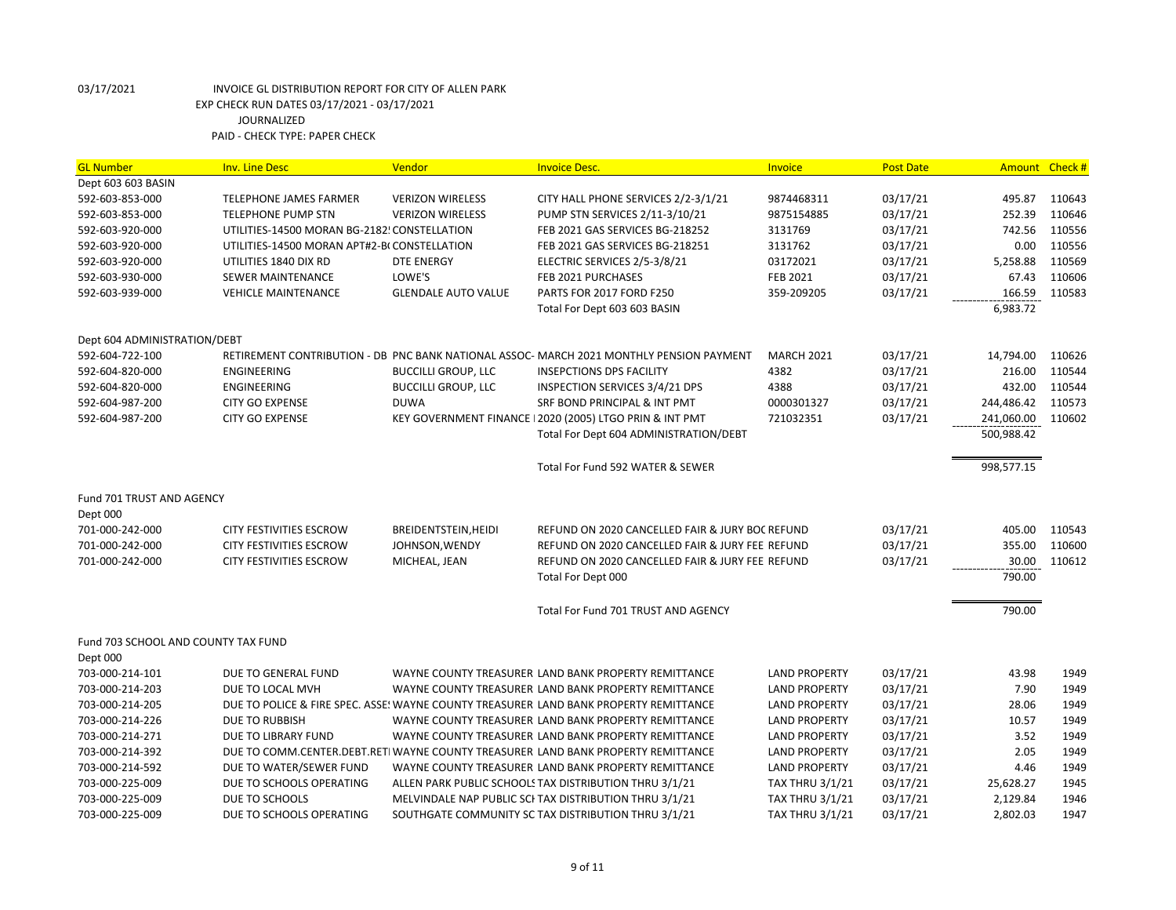| <b>GL Number</b>                                | <b>Inv. Line Desc</b>                        | Vendor                     | <b>Invoice Desc.</b>                                                                     | Invoice                | <b>Post Date</b> | <b>Amount</b> | Check# |
|-------------------------------------------------|----------------------------------------------|----------------------------|------------------------------------------------------------------------------------------|------------------------|------------------|---------------|--------|
| Dept 603 603 BASIN                              |                                              |                            |                                                                                          |                        |                  |               |        |
| 592-603-853-000                                 | <b>TELEPHONE JAMES FARMER</b>                | <b>VERIZON WIRELESS</b>    | CITY HALL PHONE SERVICES 2/2-3/1/21                                                      | 9874468311             | 03/17/21         | 495.87        | 110643 |
| 592-603-853-000                                 | TELEPHONE PUMP STN                           | <b>VERIZON WIRELESS</b>    | PUMP STN SERVICES 2/11-3/10/21                                                           | 9875154885             | 03/17/21         | 252.39        | 110646 |
| 592-603-920-000                                 | UTILITIES-14500 MORAN BG-2182! CONSTELLATION |                            | FEB 2021 GAS SERVICES BG-218252                                                          | 3131769                | 03/17/21         | 742.56        | 110556 |
| 592-603-920-000                                 | UTILITIES-14500 MORAN APT#2-B(CONSTELLATION  |                            | FEB 2021 GAS SERVICES BG-218251                                                          | 3131762                | 03/17/21         | 0.00          | 110556 |
| 592-603-920-000                                 | UTILITIES 1840 DIX RD                        | <b>DTE ENERGY</b>          | ELECTRIC SERVICES 2/5-3/8/21                                                             | 03172021               | 03/17/21         | 5,258.88      | 110569 |
| 592-603-930-000                                 | SEWER MAINTENANCE                            | LOWE'S                     | FEB 2021 PURCHASES                                                                       | FEB 2021               | 03/17/21         | 67.43         | 110606 |
| 592-603-939-000                                 | <b>VEHICLE MAINTENANCE</b>                   | <b>GLENDALE AUTO VALUE</b> | PARTS FOR 2017 FORD F250                                                                 | 359-209205             | 03/17/21         | 166.59        | 110583 |
|                                                 |                                              |                            | Total For Dept 603 603 BASIN                                                             |                        |                  | 6,983.72      |        |
| Dept 604 ADMINISTRATION/DEBT                    |                                              |                            |                                                                                          |                        |                  |               |        |
| 592-604-722-100                                 |                                              |                            | RETIREMENT CONTRIBUTION - DB PNC BANK NATIONAL ASSOC- MARCH 2021 MONTHLY PENSION PAYMENT | <b>MARCH 2021</b>      | 03/17/21         | 14,794.00     | 110626 |
| 592-604-820-000                                 | ENGINEERING                                  | <b>BUCCILLI GROUP, LLC</b> | <b>INSEPCTIONS DPS FACILITY</b>                                                          | 4382                   | 03/17/21         | 216.00        | 110544 |
| 592-604-820-000                                 | <b>ENGINEERING</b>                           | <b>BUCCILLI GROUP, LLC</b> | INSPECTION SERVICES 3/4/21 DPS                                                           | 4388                   | 03/17/21         | 432.00        | 110544 |
| 592-604-987-200                                 | <b>CITY GO EXPENSE</b>                       | <b>DUWA</b>                | SRF BOND PRINCIPAL & INT PMT                                                             | 0000301327             | 03/17/21         | 244,486.42    | 110573 |
| 592-604-987-200                                 | <b>CITY GO EXPENSE</b>                       |                            | KEY GOVERNMENT FINANCE   2020 (2005) LTGO PRIN & INT PMT                                 | 721032351              | 03/17/21         | 241,060.00    | 110602 |
|                                                 |                                              |                            | Total For Dept 604 ADMINISTRATION/DEBT                                                   |                        |                  | 500,988.42    |        |
|                                                 |                                              |                            | Total For Fund 592 WATER & SEWER                                                         |                        |                  | 998,577.15    |        |
| Fund 701 TRUST AND AGENCY<br>Dept 000           |                                              |                            |                                                                                          |                        |                  |               |        |
| 701-000-242-000                                 | <b>CITY FESTIVITIES ESCROW</b>               | BREIDENTSTEIN, HEIDI       | REFUND ON 2020 CANCELLED FAIR & JURY BOC REFUND                                          |                        | 03/17/21         | 405.00        | 110543 |
| 701-000-242-000                                 | CITY FESTIVITIES ESCROW                      | JOHNSON, WENDY             | REFUND ON 2020 CANCELLED FAIR & JURY FEE REFUND                                          |                        | 03/17/21         | 355.00        | 110600 |
| 701-000-242-000                                 | <b>CITY FESTIVITIES ESCROW</b>               | MICHEAL, JEAN              | REFUND ON 2020 CANCELLED FAIR & JURY FEE REFUND                                          |                        | 03/17/21         | 30.00         | 110612 |
|                                                 |                                              |                            | Total For Dept 000                                                                       |                        |                  | 790.00        |        |
|                                                 |                                              |                            | Total For Fund 701 TRUST AND AGENCY                                                      |                        |                  | 790.00        |        |
| Fund 703 SCHOOL AND COUNTY TAX FUND<br>Dept 000 |                                              |                            |                                                                                          |                        |                  |               |        |
| 703-000-214-101                                 | DUE TO GENERAL FUND                          |                            | WAYNE COUNTY TREASURER LAND BANK PROPERTY REMITTANCE                                     | <b>LAND PROPERTY</b>   | 03/17/21         | 43.98         | 1949   |
| 703-000-214-203                                 | DUE TO LOCAL MVH                             |                            | WAYNE COUNTY TREASURER LAND BANK PROPERTY REMITTANCE                                     | <b>LAND PROPERTY</b>   | 03/17/21         | 7.90          | 1949   |
| 703-000-214-205                                 |                                              |                            | DUE TO POLICE & FIRE SPEC. ASSE! WAYNE COUNTY TREASURER LAND BANK PROPERTY REMITTANCE    | <b>LAND PROPERTY</b>   | 03/17/21         | 28.06         | 1949   |
| 703-000-214-226                                 | <b>DUE TO RUBBISH</b>                        |                            | WAYNE COUNTY TREASURER LAND BANK PROPERTY REMITTANCE                                     | <b>LAND PROPERTY</b>   | 03/17/21         | 10.57         | 1949   |
| 703-000-214-271                                 | DUE TO LIBRARY FUND                          |                            | WAYNE COUNTY TREASURER LAND BANK PROPERTY REMITTANCE                                     | <b>LAND PROPERTY</b>   | 03/17/21         | 3.52          | 1949   |
| 703-000-214-392                                 |                                              |                            | DUE TO COMM.CENTER.DEBT.RETI WAYNE COUNTY TREASURER LAND BANK PROPERTY REMITTANCE        | <b>LAND PROPERTY</b>   | 03/17/21         | 2.05          | 1949   |
| 703-000-214-592                                 | DUE TO WATER/SEWER FUND                      |                            | WAYNE COUNTY TREASURER LAND BANK PROPERTY REMITTANCE                                     | <b>LAND PROPERTY</b>   | 03/17/21         | 4.46          | 1949   |
| 703-000-225-009                                 | DUE TO SCHOOLS OPERATING                     |                            | ALLEN PARK PUBLIC SCHOOLS TAX DISTRIBUTION THRU 3/1/21                                   | <b>TAX THRU 3/1/21</b> | 03/17/21         | 25,628.27     | 1945   |
| 703-000-225-009                                 | DUE TO SCHOOLS                               |                            | MELVINDALE NAP PUBLIC SCI TAX DISTRIBUTION THRU 3/1/21                                   | <b>TAX THRU 3/1/21</b> | 03/17/21         | 2,129.84      | 1946   |
| 703-000-225-009                                 | DUE TO SCHOOLS OPERATING                     |                            | SOUTHGATE COMMUNITY SC TAX DISTRIBUTION THRU 3/1/21                                      | <b>TAX THRU 3/1/21</b> | 03/17/21         | 2,802.03      | 1947   |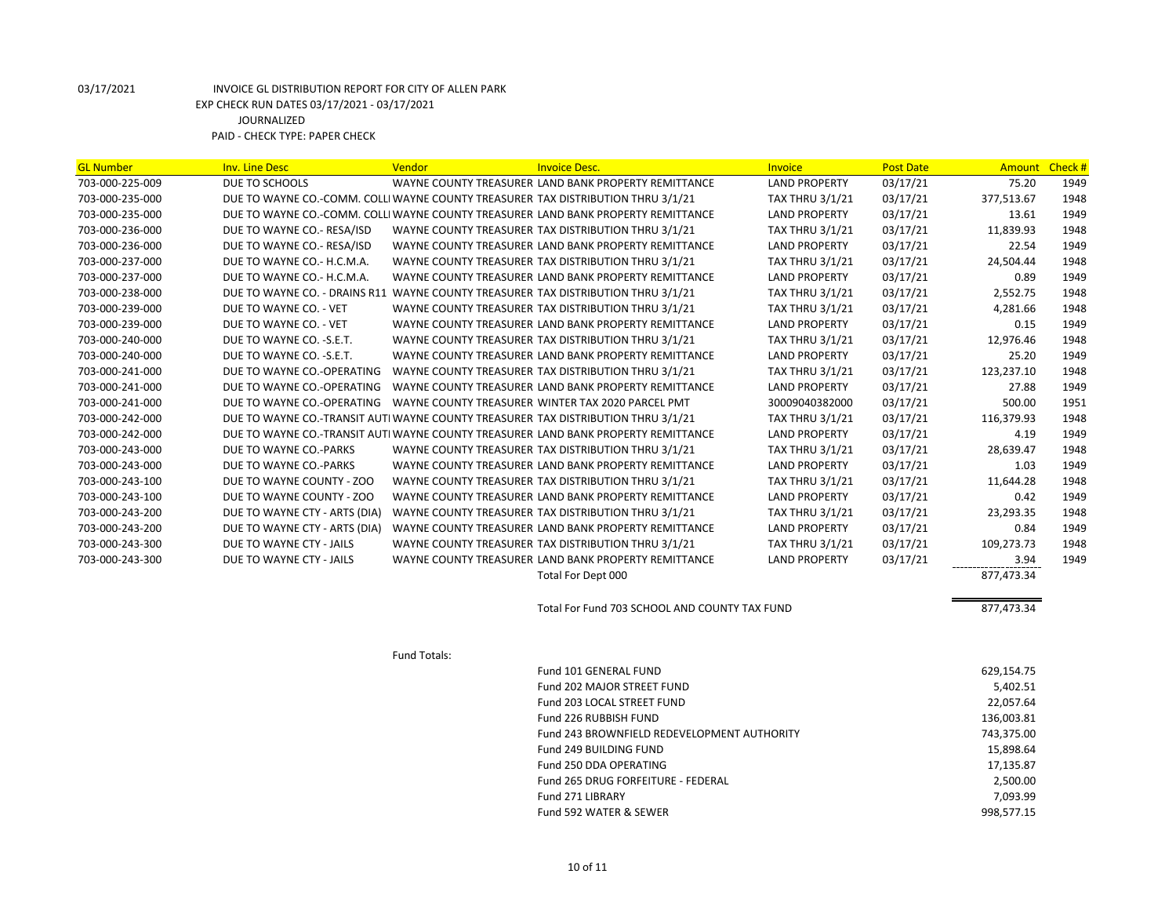| <b>GL Number</b> | <b>Inv. Line Desc</b>                                                             | Vendor       | <b>Invoice Desc.</b>                                                               | Invoice                | <b>Post Date</b> | <b>Amount</b> | Check # |
|------------------|-----------------------------------------------------------------------------------|--------------|------------------------------------------------------------------------------------|------------------------|------------------|---------------|---------|
| 703-000-225-009  | DUE TO SCHOOLS                                                                    |              | WAYNE COUNTY TREASURER LAND BANK PROPERTY REMITTANCE                               | <b>LAND PROPERTY</b>   | 03/17/21         | 75.20         | 1949    |
| 703-000-235-000  | DUE TO WAYNE CO.-COMM. COLLI WAYNE COUNTY TREASURER TAX DISTRIBUTION THRU 3/1/21  |              |                                                                                    | <b>TAX THRU 3/1/21</b> | 03/17/21         | 377,513.67    | 1948    |
| 703-000-235-000  |                                                                                   |              | DUE TO WAYNE CO.-COMM. COLLI WAYNE COUNTY TREASURER LAND BANK PROPERTY REMITTANCE  | <b>LAND PROPERTY</b>   | 03/17/21         | 13.61         | 1949    |
| 703-000-236-000  | DUE TO WAYNE CO.- RESA/ISD                                                        |              | WAYNE COUNTY TREASURER TAX DISTRIBUTION THRU 3/1/21                                | <b>TAX THRU 3/1/21</b> | 03/17/21         | 11,839.93     | 1948    |
| 703-000-236-000  | DUE TO WAYNE CO.- RESA/ISD                                                        |              | WAYNE COUNTY TREASURER LAND BANK PROPERTY REMITTANCE                               | <b>LAND PROPERTY</b>   | 03/17/21         | 22.54         | 1949    |
| 703-000-237-000  | DUE TO WAYNE CO.- H.C.M.A.                                                        |              | WAYNE COUNTY TREASURER TAX DISTRIBUTION THRU 3/1/21                                | <b>TAX THRU 3/1/21</b> | 03/17/21         | 24,504.44     | 1948    |
| 703-000-237-000  | DUE TO WAYNE CO.- H.C.M.A.                                                        |              | WAYNE COUNTY TREASURER LAND BANK PROPERTY REMITTANCE                               | <b>LAND PROPERTY</b>   | 03/17/21         | 0.89          | 1949    |
| 703-000-238-000  | DUE TO WAYNE CO. - DRAINS R11 WAYNE COUNTY TREASURER TAX DISTRIBUTION THRU 3/1/21 |              |                                                                                    | <b>TAX THRU 3/1/21</b> | 03/17/21         | 2,552.75      | 1948    |
| 703-000-239-000  | DUE TO WAYNE CO. - VET                                                            |              | WAYNE COUNTY TREASURER TAX DISTRIBUTION THRU 3/1/21                                | <b>TAX THRU 3/1/21</b> | 03/17/21         | 4,281.66      | 1948    |
| 703-000-239-000  | DUE TO WAYNE CO. - VET                                                            |              | WAYNE COUNTY TREASURER LAND BANK PROPERTY REMITTANCE                               | <b>LAND PROPERTY</b>   | 03/17/21         | 0.15          | 1949    |
| 703-000-240-000  | DUE TO WAYNE CO. - S.E.T.                                                         |              | WAYNE COUNTY TREASURER TAX DISTRIBUTION THRU 3/1/21                                | <b>TAX THRU 3/1/21</b> | 03/17/21         | 12,976.46     | 1948    |
| 703-000-240-000  | DUE TO WAYNE CO. - S.E.T.                                                         |              | WAYNE COUNTY TREASURER LAND BANK PROPERTY REMITTANCE                               | <b>LAND PROPERTY</b>   | 03/17/21         | 25.20         | 1949    |
| 703-000-241-000  | DUE TO WAYNE CO.-OPERATING                                                        |              | WAYNE COUNTY TREASURER TAX DISTRIBUTION THRU 3/1/21                                | <b>TAX THRU 3/1/21</b> | 03/17/21         | 123,237.10    | 1948    |
| 703-000-241-000  | DUE TO WAYNE CO.-OPERATING                                                        |              | WAYNE COUNTY TREASURER LAND BANK PROPERTY REMITTANCE                               | <b>LAND PROPERTY</b>   | 03/17/21         | 27.88         | 1949    |
| 703-000-241-000  | DUE TO WAYNE CO.-OPERATING WAYNE COUNTY TREASURER WINTER TAX 2020 PARCEL PMT      |              |                                                                                    | 30009040382000         | 03/17/21         | 500.00        | 1951    |
| 703-000-242-000  | DUE TO WAYNE CO.-TRANSIT AUTI WAYNE COUNTY TREASURER TAX DISTRIBUTION THRU 3/1/21 |              |                                                                                    | <b>TAX THRU 3/1/21</b> | 03/17/21         | 116,379.93    | 1948    |
| 703-000-242-000  |                                                                                   |              | DUE TO WAYNE CO.-TRANSIT AUTI WAYNE COUNTY TREASURER LAND BANK PROPERTY REMITTANCE | <b>LAND PROPERTY</b>   | 03/17/21         | 4.19          | 1949    |
| 703-000-243-000  | DUE TO WAYNE CO.-PARKS                                                            |              | WAYNE COUNTY TREASURER TAX DISTRIBUTION THRU 3/1/21                                | <b>TAX THRU 3/1/21</b> | 03/17/21         | 28,639.47     | 1948    |
| 703-000-243-000  | DUE TO WAYNE CO.-PARKS                                                            |              | WAYNE COUNTY TREASURER LAND BANK PROPERTY REMITTANCE                               | <b>LAND PROPERTY</b>   | 03/17/21         | 1.03          | 1949    |
| 703-000-243-100  | DUE TO WAYNE COUNTY - ZOO                                                         |              | WAYNE COUNTY TREASURER TAX DISTRIBUTION THRU 3/1/21                                | <b>TAX THRU 3/1/21</b> | 03/17/21         | 11,644.28     | 1948    |
| 703-000-243-100  | DUE TO WAYNE COUNTY - ZOO                                                         |              | WAYNE COUNTY TREASURER LAND BANK PROPERTY REMITTANCE                               | <b>LAND PROPERTY</b>   | 03/17/21         | 0.42          | 1949    |
| 703-000-243-200  | DUE TO WAYNE CTY - ARTS (DIA)                                                     |              | WAYNE COUNTY TREASURER TAX DISTRIBUTION THRU 3/1/21                                | <b>TAX THRU 3/1/21</b> | 03/17/21         | 23,293.35     | 1948    |
| 703-000-243-200  | DUE TO WAYNE CTY - ARTS (DIA)                                                     |              | WAYNE COUNTY TREASURER LAND BANK PROPERTY REMITTANCE                               | <b>LAND PROPERTY</b>   | 03/17/21         | 0.84          | 1949    |
| 703-000-243-300  | DUE TO WAYNE CTY - JAILS                                                          |              | WAYNE COUNTY TREASURER TAX DISTRIBUTION THRU 3/1/21                                | <b>TAX THRU 3/1/21</b> | 03/17/21         | 109,273.73    | 1948    |
| 703-000-243-300  | DUE TO WAYNE CTY - JAILS                                                          |              | WAYNE COUNTY TREASURER LAND BANK PROPERTY REMITTANCE                               | <b>LAND PROPERTY</b>   | 03/17/21         | 3.94          | 1949    |
|                  |                                                                                   |              | Total For Dept 000                                                                 |                        |                  | 877,473.34    |         |
|                  |                                                                                   |              | Total For Fund 703 SCHOOL AND COUNTY TAX FUND                                      |                        |                  | 877,473.34    |         |
|                  |                                                                                   | Fund Totals: |                                                                                    |                        |                  |               |         |
|                  |                                                                                   |              | Fund 101 GENERAL FUND                                                              |                        |                  | 629,154.75    |         |
|                  |                                                                                   |              | Fund 202 MAJOR STREET FUND                                                         |                        |                  | 5,402.51      |         |
|                  |                                                                                   |              | Fund 203 LOCAL STREET FUND                                                         |                        |                  | 22,057.64     |         |
|                  |                                                                                   |              | Fund 226 RUBBISH FUND                                                              |                        |                  | 136,003.81    |         |
|                  |                                                                                   |              | Fund 243 BROWNFIELD REDEVELOPMENT AUTHORITY                                        |                        |                  | 743,375.00    |         |
|                  |                                                                                   |              | Fund 249 BUILDING FUND                                                             |                        |                  | 15,898.64     |         |
|                  |                                                                                   |              | Fund 250 DDA OPERATING                                                             |                        |                  | 17,135.87     |         |
|                  |                                                                                   |              | Fund 265 DRUG FORFEITURE - FEDERAL                                                 |                        |                  | 2,500.00      |         |
|                  |                                                                                   |              | Fund 271 LIBRARY                                                                   |                        |                  | 7,093.99      |         |
|                  |                                                                                   |              | Fund 592 WATER & SEWER                                                             |                        |                  | 998,577.15    |         |